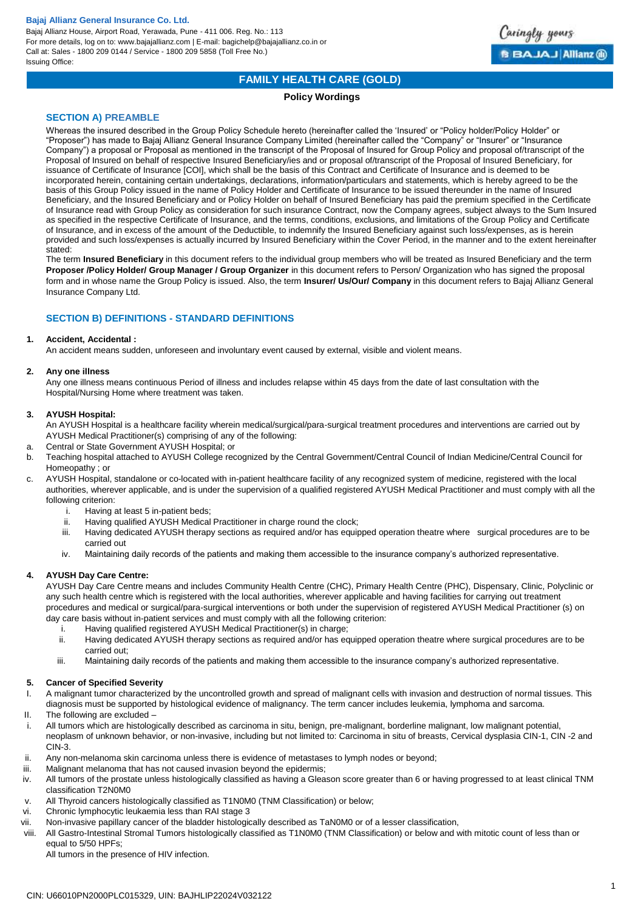Bajaj Allianz House, Airport Road, Yerawada, Pune - 411 006. Reg. No.: 113 For more details, log on to: www.bajajallianz.com | E-mail: bagichelp@bajajallianz.co.in or Call at: Sales - 1800 209 0144 / Service - 1800 209 5858 (Toll Free No.) Issuing Office:



## **FAMILY HEALTH CARE (GOLD)**

## **Policy Wordings**

## **SECTION A) PREAMBLE**

Whereas the insured described in the Group Policy Schedule hereto (hereinafter called the 'Insured' or "Policy holder/Policy Holder" or "Proposer") has made to Bajaj Allianz General Insurance Company Limited (hereinafter called the "Company" or "Insurer" or "Insurance Company") a proposal or Proposal as mentioned in the transcript of the Proposal of Insured for Group Policy and proposal of/transcript of the Proposal of Insured on behalf of respective Insured Beneficiary/ies and or proposal of/transcript of the Proposal of Insured Beneficiary, for issuance of Certificate of Insurance [COI], which shall be the basis of this Contract and Certificate of Insurance and is deemed to be incorporated herein, containing certain undertakings, declarations, information/particulars and statements, which is hereby agreed to be the basis of this Group Policy issued in the name of Policy Holder and Certificate of Insurance to be issued thereunder in the name of Insured Beneficiary, and the Insured Beneficiary and or Policy Holder on behalf of Insured Beneficiary has paid the premium specified in the Certificate of Insurance read with Group Policy as consideration for such insurance Contract, now the Company agrees, subject always to the Sum Insured as specified in the respective Certificate of Insurance, and the terms, conditions, exclusions, and limitations of the Group Policy and Certificate of Insurance, and in excess of the amount of the Deductible, to indemnify the Insured Beneficiary against such loss/expenses, as is herein provided and such loss/expenses is actually incurred by Insured Beneficiary within the Cover Period, in the manner and to the extent hereinafter stated:

The term **Insured Beneficiary** in this document refers to the individual group members who will be treated as Insured Beneficiary and the term **Proposer /Policy Holder/ Group Manager / Group Organizer** in this document refers to Person/ Organization who has signed the proposal form and in whose name the Group Policy is issued. Also, the term **Insurer/ Us/Our/ Company** in this document refers to Bajaj Allianz General Insurance Company Ltd.

## **SECTION B) DEFINITIONS - STANDARD DEFINITIONS**

## **1. Accident, Accidental :**

An accident means sudden, unforeseen and involuntary event caused by external, visible and violent means.

## **2. Any one illness**

Any one illness means continuous Period of illness and includes relapse within 45 days from the date of last consultation with the Hospital/Nursing Home where treatment was taken.

## **3. AYUSH Hospital:**

An AYUSH Hospital is a healthcare facility wherein medical/surgical/para-surgical treatment procedures and interventions are carried out by AYUSH Medical Practitioner(s) comprising of any of the following:

- a. Central or State Government AYUSH Hospital; or
- b. Teaching hospital attached to AYUSH College recognized by the Central Government/Central Council of Indian Medicine/Central Council for Homeopathy ; or
- c. AYUSH Hospital, standalone or co-located with in-patient healthcare facility of any recognized system of medicine, registered with the local authorities, wherever applicable, and is under the supervision of a qualified registered AYUSH Medical Practitioner and must comply with all the following criterion:
	- i. Having at least 5 in-patient beds;
	- ii. Having qualified AYUSH Medical Practitioner in charge round the clock;
	- iii. Having dedicated AYUSH therapy sections as required and/or has equipped operation theatre where surgical procedures are to be carried out
	- iv. Maintaining daily records of the patients and making them accessible to the insurance company's authorized representative.

## **4. AYUSH Day Care Centre:**

AYUSH Day Care Centre means and includes Community Health Centre (CHC), Primary Health Centre (PHC), Dispensary, Clinic, Polyclinic or any such health centre which is registered with the local authorities, wherever applicable and having facilities for carrying out treatment procedures and medical or surgical/para-surgical interventions or both under the supervision of registered AYUSH Medical Practitioner (s) on day care basis without in-patient services and must comply with all the following criterion:

- i. Having qualified registered AYUSH Medical Practitioner(s) in charge;
- ii. Having dedicated AYUSH therapy sections as required and/or has equipped operation theatre where surgical procedures are to be carried out;
- iii. Maintaining daily records of the patients and making them accessible to the insurance company's authorized representative.

## **5. Cancer of Specified Severity**

- I. A malignant tumor characterized by the uncontrolled growth and spread of malignant cells with invasion and destruction of normal tissues. This diagnosis must be supported by histological evidence of malignancy. The term cancer includes leukemia, lymphoma and sarcoma.
- II. The following are excluded –
- i. All tumors which are histologically described as carcinoma in situ, benign, pre-malignant, borderline malignant, low malignant potential, neoplasm of unknown behavior, or non-invasive, including but not limited to: Carcinoma in situ of breasts, Cervical dysplasia CIN-1, CIN -2 and CIN-3.
- ii. Any non-melanoma skin carcinoma unless there is evidence of metastases to lymph nodes or beyond;
- iii. Malignant melanoma that has not caused invasion beyond the epidermis;
- iv. All tumors of the prostate unless histologically classified as having a Gleason score greater than 6 or having progressed to at least clinical TNM classification T2N0M0
- v. All Thyroid cancers histologically classified as T1N0M0 (TNM Classification) or below;
- vi. Chronic lymphocytic leukaemia less than RAI stage 3
- vii. Non-invasive papillary cancer of the bladder histologically described as TaN0M0 or of a lesser classification,
- viii. All Gastro-Intestinal Stromal Tumors histologically classified as T1N0M0 (TNM Classification) or below and with mitotic count of less than or equal to 5/50 HPFs;

All tumors in the presence of HIV infection.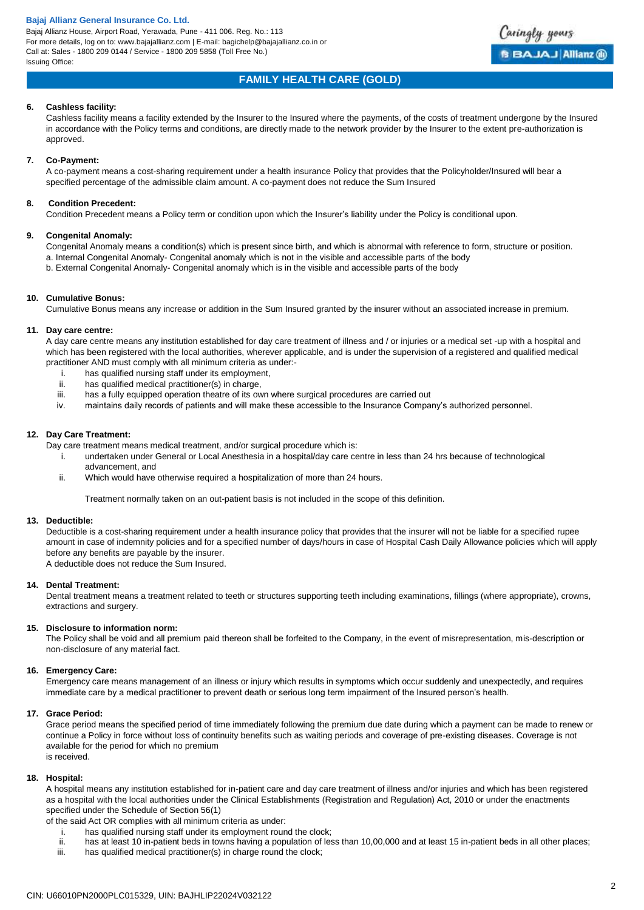Bajaj Allianz House, Airport Road, Yerawada, Pune - 411 006. Reg. No.: 113 For more details, log on to: www.bajajallianz.com | E-mail: bagichelp@bajajallianz.co.in or Call at: Sales - 1800 209 0144 / Service - 1800 209 5858 (Toll Free No.) Issuing Office:



# **FAMILY HEALTH CARE (GOLD)**

## **6. Cashless facility:**

Cashless facility means a facility extended by the Insurer to the Insured where the payments, of the costs of treatment undergone by the Insured in accordance with the Policy terms and conditions, are directly made to the network provider by the Insurer to the extent pre-authorization is approved.

## **7. Co-Payment:**

A co-payment means a cost-sharing requirement under a health insurance Policy that provides that the Policyholder/Insured will bear a specified percentage of the admissible claim amount. A co-payment does not reduce the Sum Insured

## **8. Condition Precedent:**

Condition Precedent means a Policy term or condition upon which the Insurer's liability under the Policy is conditional upon.

## **9. Congenital Anomaly:**

Congenital Anomaly means a condition(s) which is present since birth, and which is abnormal with reference to form, structure or position. a. Internal Congenital Anomaly- Congenital anomaly which is not in the visible and accessible parts of the body b. External Congenital Anomaly- Congenital anomaly which is in the visible and accessible parts of the body

## **10. Cumulative Bonus:**

Cumulative Bonus means any increase or addition in the Sum Insured granted by the insurer without an associated increase in premium.

## **11. Day care centre:**

A day care centre means any institution established for day care treatment of illness and / or injuries or a medical set -up with a hospital and which has been registered with the local authorities, wherever applicable, and is under the supervision of a registered and qualified medical practitioner AND must comply with all minimum criteria as under:-

- i. has qualified nursing staff under its employment,
- ii. has qualified medical practitioner(s) in charge,
- iii. has a fully equipped operation theatre of its own where surgical procedures are carried out
- iv. maintains daily records of patients and will make these accessible to the Insurance Company's authorized personnel.

## **12. Day Care Treatment:**

Day care treatment means medical treatment, and/or surgical procedure which is:

- i. undertaken under General or Local Anesthesia in a hospital/day care centre in less than 24 hrs because of technological advancement, and
- ii. Which would have otherwise required a hospitalization of more than 24 hours.

Treatment normally taken on an out-patient basis is not included in the scope of this definition.

## **13. Deductible:**

Deductible is a cost-sharing requirement under a health insurance policy that provides that the insurer will not be liable for a specified rupee amount in case of indemnity policies and for a specified number of days/hours in case of Hospital Cash Daily Allowance policies which will apply before any benefits are payable by the insurer. A deductible does not reduce the Sum Insured.

## **14. Dental Treatment:**

Dental treatment means a treatment related to teeth or structures supporting teeth including examinations, fillings (where appropriate), crowns, extractions and surgery.

## **15. Disclosure to information norm:**

The Policy shall be void and all premium paid thereon shall be forfeited to the Company, in the event of misrepresentation, mis-description or non-disclosure of any material fact.

## **16. Emergency Care:**

Emergency care means management of an illness or injury which results in symptoms which occur suddenly and unexpectedly, and requires immediate care by a medical practitioner to prevent death or serious long term impairment of the Insured person's health.

## **17. Grace Period:**

Grace period means the specified period of time immediately following the premium due date during which a payment can be made to renew or continue a Policy in force without loss of continuity benefits such as waiting periods and coverage of pre-existing diseases. Coverage is not available for the period for which no premium is received.

## **18. Hospital:**

A hospital means any institution established for in-patient care and day care treatment of illness and/or injuries and which has been registered as a hospital with the local authorities under the Clinical Establishments (Registration and Regulation) Act, 2010 or under the enactments specified under the Schedule of Section 56(1)

of the said Act OR complies with all minimum criteria as under:

- i. has qualified nursing staff under its employment round the clock;
- ii. has at least 10 in-patient beds in towns having a population of less than 10,00,000 and at least 15 in-patient beds in all other places;
- iii. has qualified medical practitioner(s) in charge round the clock;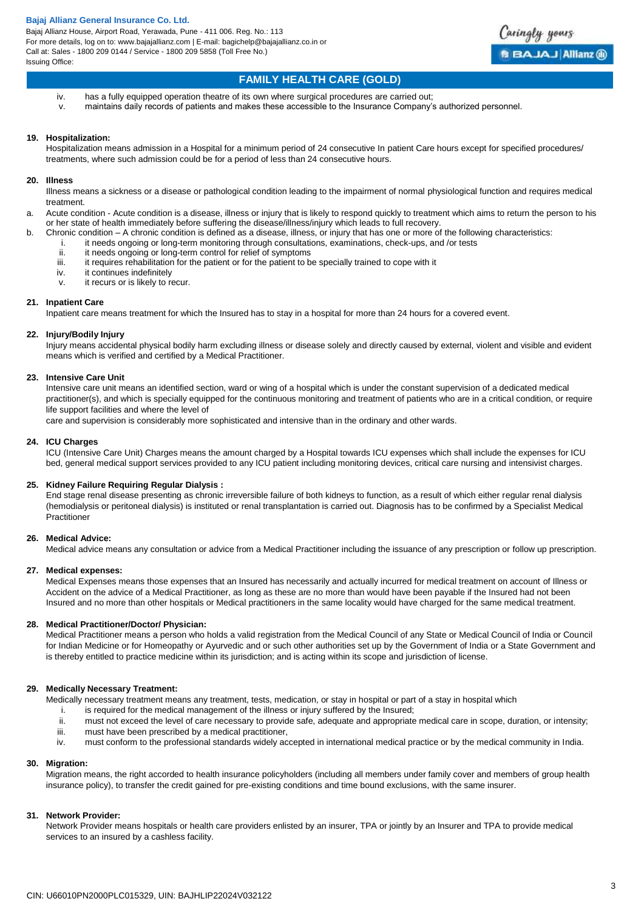Bajaj Allianz House, Airport Road, Yerawada, Pune - 411 006. Reg. No.: 113 For more details, log on to: www.bajajallianz.com | E-mail: bagichelp@bajajallianz.co.in or Call at: Sales - 1800 209 0144 / Service - 1800 209 5858 (Toll Free No.) Issuing Office:



# **FAMILY HEALTH CARE (GOLD)**

- iv. has a fully equipped operation theatre of its own where surgical procedures are carried out;
- v. maintains daily records of patients and makes these accessible to the Insurance Company's authorized personnel.

#### **19. Hospitalization:**

Hospitalization means admission in a Hospital for a minimum period of 24 consecutive In patient Care hours except for specified procedures/ treatments, where such admission could be for a period of less than 24 consecutive hours.

#### **20. Illness**

Illness means a sickness or a disease or pathological condition leading to the impairment of normal physiological function and requires medical treatment.

a. Acute condition - Acute condition is a disease, illness or injury that is likely to respond quickly to treatment which aims to return the person to his or her state of health immediately before suffering the disease/illness/injury which leads to full recovery.

- b. Chronic condition A chronic condition is defined as a disease, illness, or injury that has one or more of the following characteristics:
	- i. it needs ongoing or long-term monitoring through consultations, examinations, check-ups, and /or tests<br>ii. it needs ongoing or long-term control for relief of symptoms
		- it needs ongoing or long-term control for relief of symptoms
	- iii. it requires rehabilitation for the patient or for the patient to be specially trained to cope with it
	- iv. it continues indefinitely<br>v it recurs or is likely to re
	- it recurs or is likely to recur.

#### **21. Inpatient Care**

Inpatient care means treatment for which the Insured has to stay in a hospital for more than 24 hours for a covered event.

# **22. Injury/Bodily Injury**

Injury means accidental physical bodily harm excluding illness or disease solely and directly caused by external, violent and visible and evident means which is verified and certified by a Medical Practitioner.

#### **23. Intensive Care Unit**

Intensive care unit means an identified section, ward or wing of a hospital which is under the constant supervision of a dedicated medical practitioner(s), and which is specially equipped for the continuous monitoring and treatment of patients who are in a critical condition, or require life support facilities and where the level of

care and supervision is considerably more sophisticated and intensive than in the ordinary and other wards.

#### **24. ICU Charges**

ICU (Intensive Care Unit) Charges means the amount charged by a Hospital towards ICU expenses which shall include the expenses for ICU bed, general medical support services provided to any ICU patient including monitoring devices, critical care nursing and intensivist charges.

## **25. Kidney Failure Requiring Regular Dialysis :**

End stage renal disease presenting as chronic irreversible failure of both kidneys to function, as a result of which either regular renal dialysis (hemodialysis or peritoneal dialysis) is instituted or renal transplantation is carried out. Diagnosis has to be confirmed by a Specialist Medical **Practitioner** 

## **26. Medical Advice:**

Medical advice means any consultation or advice from a Medical Practitioner including the issuance of any prescription or follow up prescription.

#### **27. Medical expenses:**

Medical Expenses means those expenses that an Insured has necessarily and actually incurred for medical treatment on account of Illness or Accident on the advice of a Medical Practitioner, as long as these are no more than would have been payable if the Insured had not been Insured and no more than other hospitals or Medical practitioners in the same locality would have charged for the same medical treatment.

#### **28. Medical Practitioner/Doctor/ Physician:**

Medical Practitioner means a person who holds a valid registration from the Medical Council of any State or Medical Council of India or Council for Indian Medicine or for Homeopathy or Ayurvedic and or such other authorities set up by the Government of India or a State Government and is thereby entitled to practice medicine within its jurisdiction; and is acting within its scope and jurisdiction of license.

## **29. Medically Necessary Treatment:**

Medically necessary treatment means any treatment, tests, medication, or stay in hospital or part of a stay in hospital which

- i. is required for the medical management of the illness or injury suffered by the Insured;
- ii. must not exceed the level of care necessary to provide safe, adequate and appropriate medical care in scope, duration, or intensity;
- iii. must have been prescribed by a medical practitioner,
- iv. must conform to the professional standards widely accepted in international medical practice or by the medical community in India.

## **30. Migration:**

Migration means, the right accorded to health insurance policyholders (including all members under family cover and members of group health insurance policy), to transfer the credit gained for pre-existing conditions and time bound exclusions, with the same insurer.

#### **31. Network Provider:**

Network Provider means hospitals or health care providers enlisted by an insurer, TPA or jointly by an Insurer and TPA to provide medical services to an insured by a cashless facility.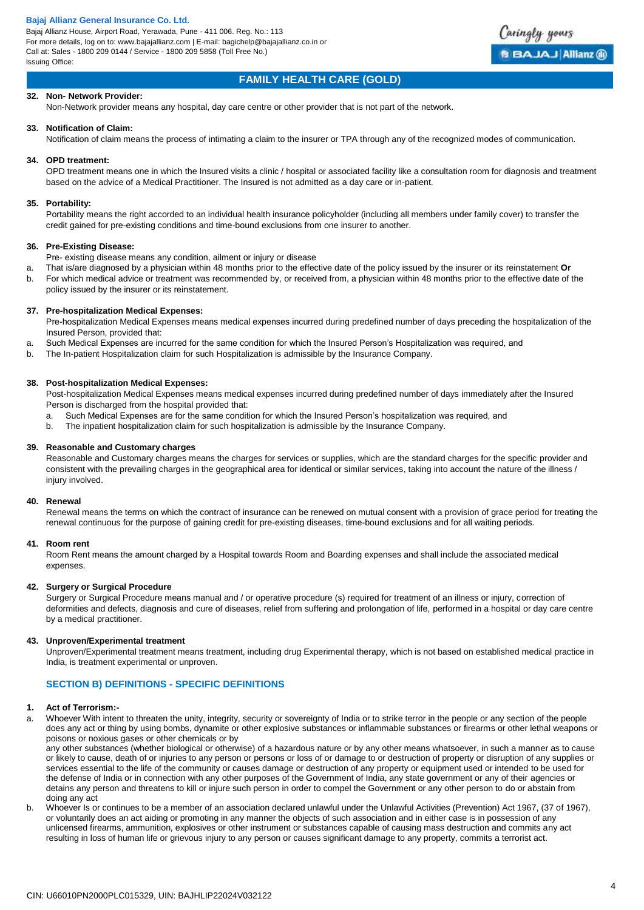Bajaj Allianz House, Airport Road, Yerawada, Pune - 411 006. Reg. No.: 113 For more details, log on to: www.bajajallianz.com | E-mail: bagichelp@bajajallianz.co.in or Call at: Sales - 1800 209 0144 / Service - 1800 209 5858 (Toll Free No.) Issuing Office:



# **FAMILY HEALTH CARE (GOLD)**

## **32. Non- Network Provider:**

Non-Network provider means any hospital, day care centre or other provider that is not part of the network.

#### **33. Notification of Claim:**

Notification of claim means the process of intimating a claim to the insurer or TPA through any of the recognized modes of communication.

## **34. OPD treatment:**

OPD treatment means one in which the Insured visits a clinic / hospital or associated facility like a consultation room for diagnosis and treatment based on the advice of a Medical Practitioner. The Insured is not admitted as a day care or in-patient.

#### **35. Portability:**

Portability means the right accorded to an individual health insurance policyholder (including all members under family cover) to transfer the credit gained for pre-existing conditions and time-bound exclusions from one insurer to another.

#### **36. Pre-Existing Disease:**

Pre- existing disease means any condition, ailment or injury or disease

- a. That is/are diagnosed by a physician within 48 months prior to the effective date of the policy issued by the insurer or its reinstatement **Or**
- b. For which medical advice or treatment was recommended by, or received from, a physician within 48 months prior to the effective date of the policy issued by the insurer or its reinstatement.

## **37. Pre-hospitalization Medical Expenses:**

Pre-hospitalization Medical Expenses means medical expenses incurred during predefined number of days preceding the hospitalization of the Insured Person, provided that:

- a. Such Medical Expenses are incurred for the same condition for which the Insured Person's Hospitalization was required, and
- b. The In-patient Hospitalization claim for such Hospitalization is admissible by the Insurance Company.

#### **38. Post-hospitalization Medical Expenses:**

Post-hospitalization Medical Expenses means medical expenses incurred during predefined number of days immediately after the Insured Person is discharged from the hospital provided that:

- a. Such Medical Expenses are for the same condition for which the Insured Person's hospitalization was required, and
- b. The inpatient hospitalization claim for such hospitalization is admissible by the Insurance Company.

#### **39. Reasonable and Customary charges**

Reasonable and Customary charges means the charges for services or supplies, which are the standard charges for the specific provider and consistent with the prevailing charges in the geographical area for identical or similar services, taking into account the nature of the illness / injury involved.

## **40. Renewal**

Renewal means the terms on which the contract of insurance can be renewed on mutual consent with a provision of grace period for treating the renewal continuous for the purpose of gaining credit for pre-existing diseases, time-bound exclusions and for all waiting periods.

## **41. Room rent**

Room Rent means the amount charged by a Hospital towards Room and Boarding expenses and shall include the associated medical expenses.

## **42. Surgery or Surgical Procedure**

Surgery or Surgical Procedure means manual and / or operative procedure (s) required for treatment of an illness or injury, correction of deformities and defects, diagnosis and cure of diseases, relief from suffering and prolongation of life, performed in a hospital or day care centre by a medical practitioner.

## **43. Unproven/Experimental treatment**

Unproven/Experimental treatment means treatment, including drug Experimental therapy, which is not based on established medical practice in India, is treatment experimental or unproven.

## **SECTION B) DEFINITIONS - SPECIFIC DEFINITIONS**

## **1. Act of Terrorism:-**

Whoever With intent to threaten the unity, integrity, security or sovereignty of India or to strike terror in the people or any section of the people does any act or thing by using bombs, dynamite or other explosive substances or inflammable substances or firearms or other lethal weapons or poisons or noxious gases or other chemicals or by

any other substances (whether biological or otherwise) of a hazardous nature or by any other means whatsoever, in such a manner as to cause or likely to cause, death of or injuries to any person or persons or loss of or damage to or destruction of property or disruption of any supplies or services essential to the life of the community or causes damage or destruction of any property or equipment used or intended to be used for the defense of India or in connection with any other purposes of the Government of India, any state government or any of their agencies or detains any person and threatens to kill or injure such person in order to compel the Government or any other person to do or abstain from doing any act

b. Whoever Is or continues to be a member of an association declared unlawful under the Unlawful Activities (Prevention) Act 1967, (37 of 1967), or voluntarily does an act aiding or promoting in any manner the objects of such association and in either case is in possession of any unlicensed firearms, ammunition, explosives or other instrument or substances capable of causing mass destruction and commits any act resulting in loss of human life or grievous injury to any person or causes significant damage to any property, commits a terrorist act.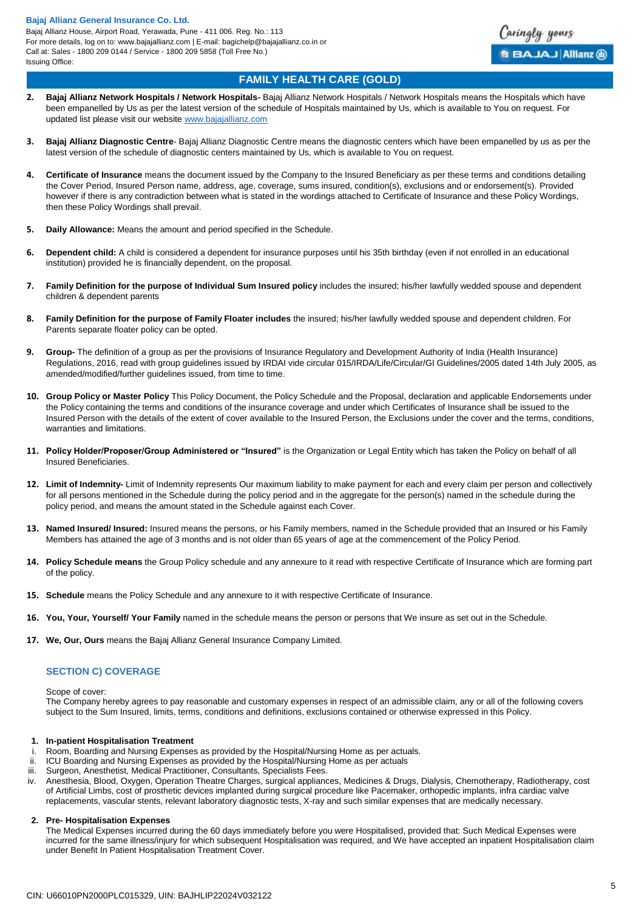Bajaj Allianz House, Airport Road, Yerawada, Pune - 411 006. Reg. No.: 113 For more details, log on to: www.bajajallianz.com | E-mail: bagichelp@bajajallianz.co.in or Call at: Sales - 1800 209 0144 / Service - 1800 209 5858 (Toll Free No.) Issuing Office:



# **FAMILY HEALTH CARE (GOLD)**

- **2. Bajaj Allianz Network Hospitals / Network Hospitals-** Bajaj Allianz Network Hospitals / Network Hospitals means the Hospitals which have been empanelled by Us as per the latest version of the schedule of Hospitals maintained by Us, which is available to You on request. For updated list please visit our websit[e www.bajajallianz.com](http://www.bajajallianz.com/)
- **3. Bajaj Allianz Diagnostic Centre** Bajaj Allianz Diagnostic Centre means the diagnostic centers which have been empanelled by us as per the latest version of the schedule of diagnostic centers maintained by Us, which is available to You on request.
- **4. Certificate of Insurance** means the document issued by the Company to the Insured Beneficiary as per these terms and conditions detailing the Cover Period, Insured Person name, address, age, coverage, sums insured, condition(s), exclusions and or endorsement(s). Provided however if there is any contradiction between what is stated in the wordings attached to Certificate of Insurance and these Policy Wordings, then these Policy Wordings shall prevail.
- **5. Daily Allowance:** Means the amount and period specified in the Schedule.
- **6. Dependent child:** A child is considered a dependent for insurance purposes until his 35th birthday (even if not enrolled in an educational institution) provided he is financially dependent, on the proposal.
- **7. Family Definition for the purpose of Individual Sum Insured policy** includes the insured; his/her lawfully wedded spouse and dependent children & dependent parents
- **8. Family Definition for the purpose of Family Floater includes** the insured; his/her lawfully wedded spouse and dependent children. For Parents separate floater policy can be opted.
- **9. Group-** The definition of a group as per the provisions of Insurance Regulatory and Development Authority of India (Health Insurance) Regulations, 2016, read with group guidelines issued by IRDAI vide circular 015/IRDA/Life/Circular/GI Guidelines/2005 dated 14th July 2005, as amended/modified/further guidelines issued, from time to time.
- **10. Group Policy or Master Policy** This Policy Document, the Policy Schedule and the Proposal, declaration and applicable Endorsements under the Policy containing the terms and conditions of the insurance coverage and under which Certificates of Insurance shall be issued to the Insured Person with the details of the extent of cover available to the Insured Person, the Exclusions under the cover and the terms, conditions, warranties and limitations.
- **11. Policy Holder/Proposer/Group Administered or "Insured"** is the Organization or Legal Entity which has taken the Policy on behalf of all Insured Beneficiaries.
- **12. Limit of Indemnity-** Limit of Indemnity represents Our maximum liability to make payment for each and every claim per person and collectively for all persons mentioned in the Schedule during the policy period and in the aggregate for the person(s) named in the schedule during the policy period, and means the amount stated in the Schedule against each Cover.
- **13. Named Insured/ Insured:** Insured means the persons, or his Family members, named in the Schedule provided that an Insured or his Family Members has attained the age of 3 months and is not older than 65 years of age at the commencement of the Policy Period.
- **14. Policy Schedule means** the Group Policy schedule and any annexure to it read with respective Certificate of Insurance which are forming part of the policy.
- **15. Schedule** means the Policy Schedule and any annexure to it with respective Certificate of Insurance.
- **16. You, Your, Yourself/ Your Family** named in the schedule means the person or persons that We insure as set out in the Schedule.
- **17. We, Our, Ours** means the Bajaj Allianz General Insurance Company Limited.

## **SECTION C) COVERAGE**

Scope of cover:

The Company hereby agrees to pay reasonable and customary expenses in respect of an admissible claim, any or all of the following covers subject to the Sum Insured, limits, terms, conditions and definitions, exclusions contained or otherwise expressed in this Policy.

## **1. In-patient Hospitalisation Treatment**

- Room, Boarding and Nursing Expenses as provided by the Hospital/Nursing Home as per actuals.
- ii. ICU Boarding and Nursing Expenses as provided by the Hospital/Nursing Home as per actuals
- iii. Surgeon, Anesthetist, Medical Practitioner, Consultants, Specialists Fees.
- iv. Anesthesia, Blood, Oxygen, Operation Theatre Charges, surgical appliances, Medicines & Drugs, Dialysis, Chemotherapy, Radiotherapy, cost of Artificial Limbs, cost of prosthetic devices implanted during surgical procedure like Pacemaker, orthopedic implants, infra cardiac valve replacements, vascular stents, relevant laboratory diagnostic tests, X-ray and such similar expenses that are medically necessary.

## **2. Pre- Hospitalisation Expenses**

The Medical Expenses incurred during the 60 days immediately before you were Hospitalised, provided that: Such Medical Expenses were incurred for the same illness/injury for which subsequent Hospitalisation was required, and We have accepted an inpatient Hospitalisation claim under Benefit In Patient Hospitalisation Treatment Cover.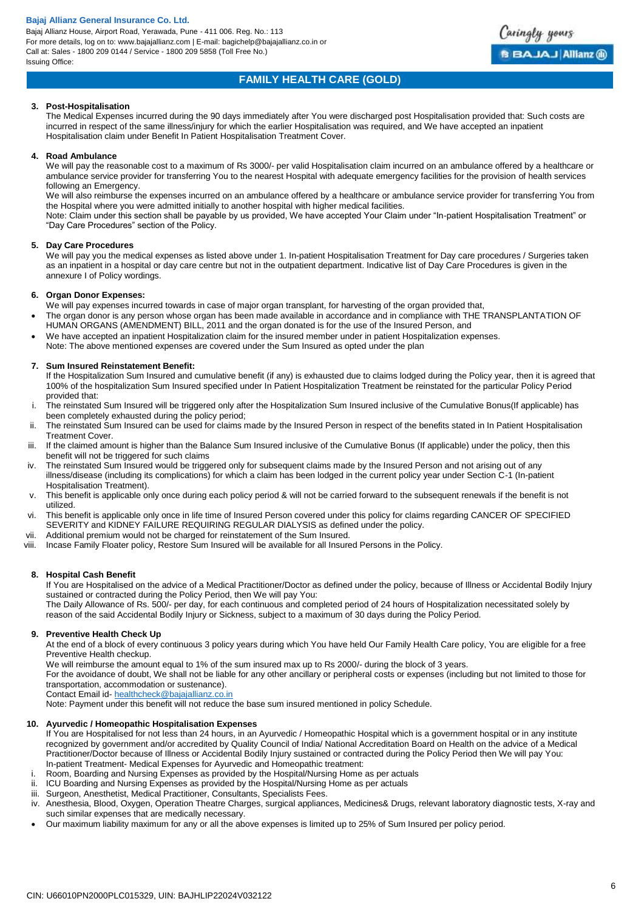Bajaj Allianz House, Airport Road, Yerawada, Pune - 411 006. Reg. No.: 113 For more details, log on to: www.bajajallianz.com | E-mail: bagichelp@bajajallianz.co.in or Call at: Sales - 1800 209 0144 / Service - 1800 209 5858 (Toll Free No.) Issuing Office:



# **FAMILY HEALTH CARE (GOLD)**

## **3. Post-Hospitalisation**

The Medical Expenses incurred during the 90 days immediately after You were discharged post Hospitalisation provided that: Such costs are incurred in respect of the same illness/injury for which the earlier Hospitalisation was required, and We have accepted an inpatient Hospitalisation claim under Benefit In Patient Hospitalisation Treatment Cover.

## **4. Road Ambulance**

We will pay the reasonable cost to a maximum of Rs 3000/- per valid Hospitalisation claim incurred on an ambulance offered by a healthcare or ambulance service provider for transferring You to the nearest Hospital with adequate emergency facilities for the provision of health services following an Emergency.

We will also reimburse the expenses incurred on an ambulance offered by a healthcare or ambulance service provider for transferring You from the Hospital where you were admitted initially to another hospital with higher medical facilities.

Note: Claim under this section shall be payable by us provided, We have accepted Your Claim under "In-patient Hospitalisation Treatment" or "Day Care Procedures" section of the Policy.

## **5. Day Care Procedures**

We will pay you the medical expenses as listed above under 1. In-patient Hospitalisation Treatment for Day care procedures / Surgeries taken as an inpatient in a hospital or day care centre but not in the outpatient department. Indicative list of Day Care Procedures is given in the annexure I of Policy wordings.

## **6. Organ Donor Expenses:**

We will pay expenses incurred towards in case of major organ transplant, for harvesting of the organ provided that, The organ donor is any person whose organ has been made available in accordance and in compliance with THE TRANSPLANTATION OF

- HUMAN ORGANS (AMENDMENT) BILL, 2011 and the organ donated is for the use of the Insured Person, and
- We have accepted an inpatient Hospitalization claim for the insured member under in patient Hospitalization expenses. Note: The above mentioned expenses are covered under the Sum Insured as opted under the plan

## **7. Sum Insured Reinstatement Benefit:**

If the Hospitalization Sum Insured and cumulative benefit (if any) is exhausted due to claims lodged during the Policy year, then it is agreed that 100% of the hospitalization Sum Insured specified under In Patient Hospitalization Treatment be reinstated for the particular Policy Period provided that:

- The reinstated Sum Insured will be triggered only after the Hospitalization Sum Insured inclusive of the Cumulative Bonus(If applicable) has been completely exhausted during the policy period;
- ii. The reinstated Sum Insured can be used for claims made by the Insured Person in respect of the benefits stated in In Patient Hospitalisation Treatment Cover.
- iii. If the claimed amount is higher than the Balance Sum Insured inclusive of the Cumulative Bonus (If applicable) under the policy, then this benefit will not be triggered for such claims
- iv. The reinstated Sum Insured would be triggered only for subsequent claims made by the Insured Person and not arising out of any illness/disease (including its complications) for which a claim has been lodged in the current policy year under Section C-1 (In-patient Hospitalisation Treatment).
- v. This benefit is applicable only once during each policy period & will not be carried forward to the subsequent renewals if the benefit is not utilized.
- vi. This benefit is applicable only once in life time of Insured Person covered under this policy for claims regarding CANCER OF SPECIFIED SEVERITY and KIDNEY FAILURE REQUIRING REGULAR DIALYSIS as defined under the policy.
- vii. Additional premium would not be charged for reinstatement of the Sum Insured.
- viii. Incase Family Floater policy, Restore Sum Insured will be available for all Insured Persons in the Policy.

## **8. Hospital Cash Benefit**

If You are Hospitalised on the advice of a Medical Practitioner/Doctor as defined under the policy, because of Illness or Accidental Bodily Injury sustained or contracted during the Policy Period, then We will pay You: The Daily Allowance of Rs. 500/- per day, for each continuous and completed period of 24 hours of Hospitalization necessitated solely by

reason of the said Accidental Bodily Injury or Sickness, subject to a maximum of 30 days during the Policy Period.

## **9. Preventive Health Check Up**

At the end of a block of every continuous 3 policy years during which You have held Our Family Health Care policy, You are eligible for a free Preventive Health checkup.

We will reimburse the amount equal to 1% of the sum insured max up to Rs 2000/- during the block of 3 years.

For the avoidance of doubt, We shall not be liable for any other ancillary or peripheral costs or expenses (including but not limited to those for transportation, accommodation or sustenance).

Contact Email id- [healthcheck@bajajallianz.co.in](mailto:healthcheck@bajajallianz.co.in)

Note: Payment under this benefit will not reduce the base sum insured mentioned in policy Schedule.

## **10. Ayurvedic / Homeopathic Hospitalisation Expenses**

If You are Hospitalised for not less than 24 hours, in an Ayurvedic / Homeopathic Hospital which is a government hospital or in any institute recognized by government and/or accredited by Quality Council of India/ National Accreditation Board on Health on the advice of a Medical Practitioner/Doctor because of Illness or Accidental Bodily Injury sustained or contracted during the Policy Period then We will pay You: In-patient Treatment- Medical Expenses for Ayurvedic and Homeopathic treatment:

- i. Room, Boarding and Nursing Expenses as provided by the Hospital/Nursing Home as per actuals
- ii. ICU Boarding and Nursing Expenses as provided by the Hospital/Nursing Home as per actuals
- iii. Surgeon, Anesthetist, Medical Practitioner, Consultants, Specialists Fees.
- iv. Anesthesia, Blood, Oxygen, Operation Theatre Charges, surgical appliances, Medicines& Drugs, relevant laboratory diagnostic tests, X-ray and such similar expenses that are medically necessary.
- Our maximum liability maximum for any or all the above expenses is limited up to 25% of Sum Insured per policy period.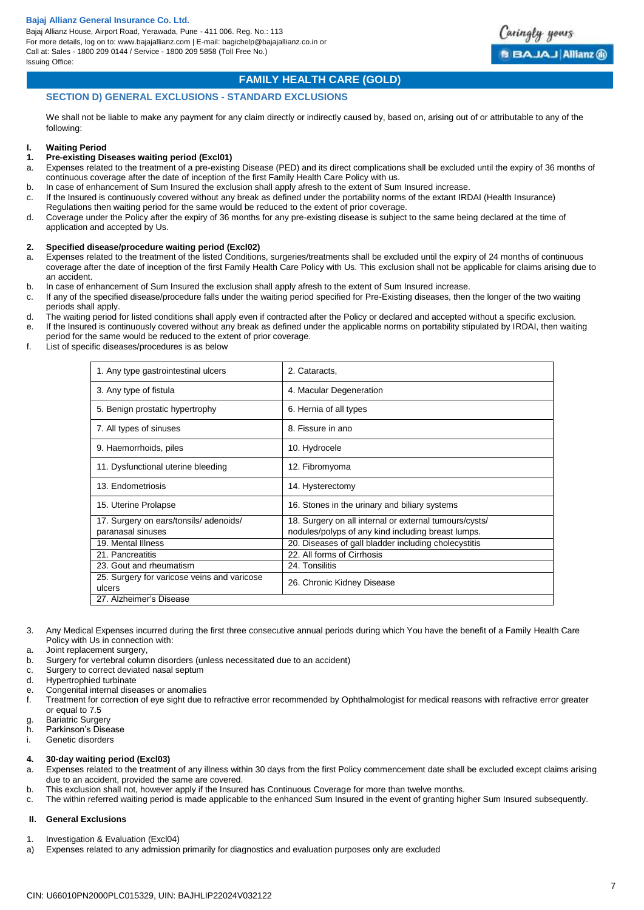Bajaj Allianz House, Airport Road, Yerawada, Pune - 411 006. Reg. No.: 113 For more details, log on to: www.bajajallianz.com | E-mail: bagichelp@bajajallianz.co.in or Call at: Sales - 1800 209 0144 / Service - 1800 209 5858 (Toll Free No.) Issuing Office:



## **FAMILY HEALTH CARE (GOLD)**

## **SECTION D) GENERAL EXCLUSIONS - STANDARD EXCLUSIONS**

We shall not be liable to make any payment for any claim directly or indirectly caused by, based on, arising out of or attributable to any of the following:

#### **I. Waiting Period**

## **1. Pre-existing Diseases waiting period (Excl01)**

- a. Expenses related to the treatment of a pre-existing Disease (PED) and its direct complications shall be excluded until the expiry of 36 months of continuous coverage after the date of inception of the first Family Health Care Policy with us.
- b. In case of enhancement of Sum Insured the exclusion shall apply afresh to the extent of Sum Insured increase
- c. If the Insured is continuously covered without any break as defined under the portability norms of the extant IRDAI (Health Insurance) Regulations then waiting period for the same would be reduced to the extent of prior coverage.
- d. Coverage under the Policy after the expiry of 36 months for any pre-existing disease is subject to the same being declared at the time of application and accepted by Us.

#### **2. Specified disease/procedure waiting period (Excl02)**

- a. Expenses related to the treatment of the listed Conditions, surgeries/treatments shall be excluded until the expiry of 24 months of continuous coverage after the date of inception of the first Family Health Care Policy with Us. This exclusion shall not be applicable for claims arising due to an accident.
- b. In case of enhancement of Sum Insured the exclusion shall apply afresh to the extent of Sum Insured increase.
- c. If any of the specified disease/procedure falls under the waiting period specified for Pre-Existing diseases, then the longer of the two waiting periods shall apply.
- d. The waiting period for listed conditions shall apply even if contracted after the Policy or declared and accepted without a specific exclusion. e. If the Insured is continuously covered without any break as defined under the applicable norms on portability stipulated by IRDAI, then waiting
- period for the same would be reduced to the extent of prior coverage.
- f. List of specific diseases/procedures is as below

| 1. Any type gastrointestinal ulcers                   | 2. Cataracts,                                          |
|-------------------------------------------------------|--------------------------------------------------------|
| 3. Any type of fistula                                | 4. Macular Degeneration                                |
| 5. Benign prostatic hypertrophy                       | 6. Hernia of all types                                 |
| 7. All types of sinuses                               | 8. Fissure in ano                                      |
| 9. Haemorrhoids, piles                                | 10. Hydrocele                                          |
| 11. Dysfunctional uterine bleeding                    | 12. Fibromyoma                                         |
| 13. Endometriosis                                     | 14. Hysterectomy                                       |
| 15. Uterine Prolapse                                  | 16. Stones in the urinary and biliary systems          |
| 17. Surgery on ears/tonsils/adenoids/                 | 18. Surgery on all internal or external tumours/cysts/ |
| paranasal sinuses                                     | nodules/polyps of any kind including breast lumps.     |
| 19. Mental Illness                                    | 20. Diseases of gall bladder including cholecystitis   |
| 21. Pancreatitis                                      | 22. All forms of Cirrhosis                             |
| 23. Gout and rheumatism                               | 24. Tonsilitis                                         |
| 25. Surgery for varicose veins and varicose<br>ulcers | 26. Chronic Kidney Disease                             |
| 27. Alzheimer's Disease                               |                                                        |

- 3. Any Medical Expenses incurred during the first three consecutive annual periods during which You have the benefit of a Family Health Care Policy with Us in connection with:
- a. Joint replacement surgery,
- b. Surgery for vertebral column disorders (unless necessitated due to an accident)
- c. Surgery to correct deviated nasal septum
- d. Hypertrophied turbinate
- e. Congenital internal diseases or anomalies
- f. Treatment for correction of eye sight due to refractive error recommended by Ophthalmologist for medical reasons with refractive error greater or equal to 7.5
- g. Bariatric Surgery
- h. Parkinson's Disease
- i. Genetic disorders

#### **4. 30-day waiting period (Excl03)**

- a. Expenses related to the treatment of any illness within 30 days from the first Policy commencement date shall be excluded except claims arising due to an accident, provided the same are covered.
- b. This exclusion shall not, however apply if the Insured has Continuous Coverage for more than twelve months.
- c. The within referred waiting period is made applicable to the enhanced Sum Insured in the event of granting higher Sum Insured subsequently.

## **II. General Exclusions**

- 1. Investigation & Evaluation (Excl04)
- a) Expenses related to any admission primarily for diagnostics and evaluation purposes only are excluded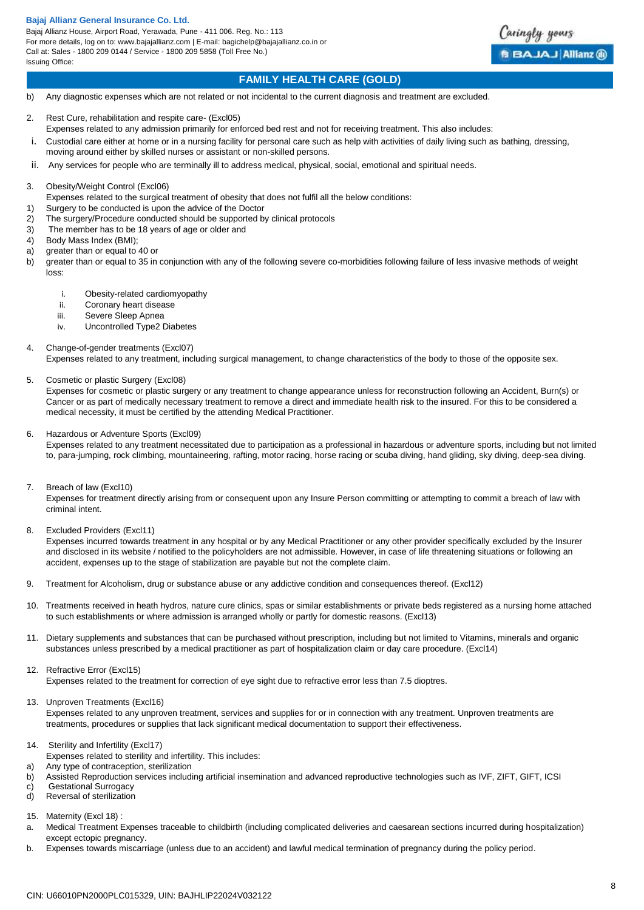Bajaj Allianz House, Airport Road, Yerawada, Pune - 411 006. Reg. No.: 113 For more details, log on to: www.bajajallianz.com | E-mail: bagichelp@bajajallianz.co.in or Call at: Sales - 1800 209 0144 / Service - 1800 209 5858 (Toll Free No.) Issuing Office:



## **FAMILY HEALTH CARE (GOLD)**

- b) Any diagnostic expenses which are not related or not incidental to the current diagnosis and treatment are excluded.
- 2. Rest Cure, rehabilitation and respite care- (Excl05)
- Expenses related to any admission primarily for enforced bed rest and not for receiving treatment. This also includes:
- i. Custodial care either at home or in a nursing facility for personal care such as help with activities of daily living such as bathing, dressing, moving around either by skilled nurses or assistant or non-skilled persons.
- ii. Any services for people who are terminally ill to address medical, physical, social, emotional and spiritual needs.
- 3. Obesity/Weight Control (Excl06)
- Expenses related to the surgical treatment of obesity that does not fulfil all the below conditions:
- 1) Surgery to be conducted is upon the advice of the Doctor
- 2) The surgery/Procedure conducted should be supported by clinical protocols
- 3) The member has to be 18 years of age or older and
- 4) Body Mass Index (BMI);
- a) greater than or equal to 40 or
- b) greater than or equal to 35 in conjunction with any of the following severe co-morbidities following failure of less invasive methods of weight loss:
	- i. Obesity-related cardiomyopathy
	- ii. Coronary heart disease
	- iii. Severe Sleep Apnea
	- iv. Uncontrolled Type2 Diabetes
- 4. Change-of-gender treatments (Excl07)

Expenses related to any treatment, including surgical management, to change characteristics of the body to those of the opposite sex.

#### 5. Cosmetic or plastic Surgery (Excl08)

Expenses for cosmetic or plastic surgery or any treatment to change appearance unless for reconstruction following an Accident, Burn(s) or Cancer or as part of medically necessary treatment to remove a direct and immediate health risk to the insured. For this to be considered a medical necessity, it must be certified by the attending Medical Practitioner.

## 6. Hazardous or Adventure Sports (Excl09)

Expenses related to any treatment necessitated due to participation as a professional in hazardous or adventure sports, including but not limited to, para-jumping, rock climbing, mountaineering, rafting, motor racing, horse racing or scuba diving, hand gliding, sky diving, deep-sea diving.

7. Breach of law (Excl10)

Expenses for treatment directly arising from or consequent upon any Insure Person committing or attempting to commit a breach of law with criminal intent.

8. Excluded Providers (Excl11)

Expenses incurred towards treatment in any hospital or by any Medical Practitioner or any other provider specifically excluded by the Insurer and disclosed in its website / notified to the policyholders are not admissible. However, in case of life threatening situations or following an accident, expenses up to the stage of stabilization are payable but not the complete claim.

- 9. Treatment for Alcoholism, drug or substance abuse or any addictive condition and consequences thereof. (Excl12)
- 10. Treatments received in heath hydros, nature cure clinics, spas or similar establishments or private beds registered as a nursing home attached to such establishments or where admission is arranged wholly or partly for domestic reasons. (Excl13)
- 11. Dietary supplements and substances that can be purchased without prescription, including but not limited to Vitamins, minerals and organic substances unless prescribed by a medical practitioner as part of hospitalization claim or day care procedure. (Excl14)

- Expenses related to the treatment for correction of eye sight due to refractive error less than 7.5 dioptres.
- 13. Unproven Treatments (Excl16)

Expenses related to any unproven treatment, services and supplies for or in connection with any treatment. Unproven treatments are treatments, procedures or supplies that lack significant medical documentation to support their effectiveness.

- 14. Sterility and Infertility (Excl17)
- Expenses related to sterility and infertility. This includes:
- a) Any type of contraception, sterilization
- b) Assisted Reproduction services including artificial insemination and advanced reproductive technologies such as IVF, ZIFT, GIFT, ICSI
- c) Gestational Surrogacy
- d) Reversal of sterilization
- 15. Maternity (Excl 18) :
- a. Medical Treatment Expenses traceable to childbirth (including complicated deliveries and caesarean sections incurred during hospitalization) except ectopic pregnancy.
- b. Expenses towards miscarriage (unless due to an accident) and lawful medical termination of pregnancy during the policy period.

<sup>12.</sup> Refractive Error (Excl15)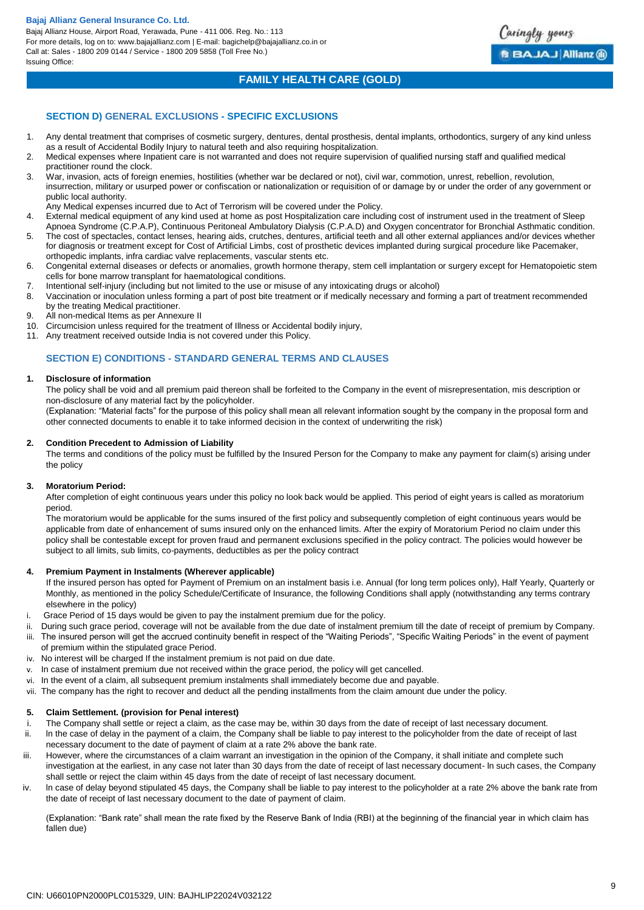Bajaj Allianz House, Airport Road, Yerawada, Pune - 411 006. Reg. No.: 113 For more details, log on to: www.bajajallianz.com | E-mail: bagichelp@bajajallianz.co.in or Call at: Sales - 1800 209 0144 / Service - 1800 209 5858 (Toll Free No.) Issuing Office:



## **FAMILY HEALTH CARE (GOLD)**

## **SECTION D) GENERAL EXCLUSIONS - SPECIFIC EXCLUSIONS**

- 1. Any dental treatment that comprises of cosmetic surgery, dentures, dental prosthesis, dental implants, orthodontics, surgery of any kind unless as a result of Accidental Bodily Injury to natural teeth and also requiring hospitalization.
- 2. Medical expenses where Inpatient care is not warranted and does not require supervision of qualified nursing staff and qualified medical practitioner round the clock.
- 3. War, invasion, acts of foreign enemies, hostilities (whether war be declared or not), civil war, commotion, unrest, rebellion, revolution, insurrection, military or usurped power or confiscation or nationalization or requisition of or damage by or under the order of any government or public local authority.
- Any Medical expenses incurred due to Act of Terrorism will be covered under the Policy.
- 4. External medical equipment of any kind used at home as post Hospitalization care including cost of instrument used in the treatment of Sleep
- Apnoea Syndrome (C.P.A.P), Continuous Peritoneal Ambulatory Dialysis (C.P.A.D) and Oxygen concentrator for Bronchial Asthmatic condition. 5. The cost of spectacles, contact lenses, hearing aids, crutches, dentures, artificial teeth and all other external appliances and/or devices whether for diagnosis or treatment except for Cost of Artificial Limbs, cost of prosthetic devices implanted during surgical procedure like Pacemaker,
- orthopedic implants, infra cardiac valve replacements, vascular stents etc. 6. Congenital external diseases or defects or anomalies, growth hormone therapy, stem cell implantation or surgery except for Hematopoietic stem
- cells for bone marrow transplant for haematological conditions.
- 7. Intentional self-injury (including but not limited to the use or misuse of any intoxicating drugs or alcohol)
- 8. Vaccination or inoculation unless forming a part of post bite treatment or if medically necessary and forming a part of treatment recommended by the treating Medical practitioner.
- 9. All non-medical Items as per Annexure II
- 10. Circumcision unless required for the treatment of Illness or Accidental bodily injury,
- 11. Any treatment received outside India is not covered under this Policy.

## **SECTION E) CONDITIONS - STANDARD GENERAL TERMS AND CLAUSES**

## **1. Disclosure of information**

The policy shall be void and all premium paid thereon shall be forfeited to the Company in the event of misrepresentation, mis description or non-disclosure of any material fact by the policyholder.

(Explanation: "Material facts" for the purpose of this policy shall mean all relevant information sought by the company in the proposal form and other connected documents to enable it to take informed decision in the context of underwriting the risk)

## **2. Condition Precedent to Admission of Liability**

The terms and conditions of the policy must be fulfilled by the Insured Person for the Company to make any payment for claim(s) arising under the policy

## **3. Moratorium Period:**

After completion of eight continuous years under this policy no look back would be applied. This period of eight years is called as moratorium period.

The moratorium would be applicable for the sums insured of the first policy and subsequently completion of eight continuous years would be applicable from date of enhancement of sums insured only on the enhanced limits. After the expiry of Moratorium Period no claim under this policy shall be contestable except for proven fraud and permanent exclusions specified in the policy contract. The policies would however be subject to all limits, sub limits, co-payments, deductibles as per the policy contract

## **4. Premium Payment in Instalments (Wherever applicable)**

If the insured person has opted for Payment of Premium on an instalment basis i.e. Annual (for long term polices only), Half Yearly, Quarterly or Monthly, as mentioned in the policy Schedule/Certificate of Insurance, the following Conditions shall apply (notwithstanding any terms contrary elsewhere in the policy)

- i. Grace Period of 15 days would be given to pay the instalment premium due for the policy.
- ii. During such grace period, coverage will not be available from the due date of instalment premium till the date of receipt of premium by Company.
- iii. The insured person will get the accrued continuity benefit in respect of the "Waiting Periods", "Specific Waiting Periods" in the event of payment of premium within the stipulated grace Period.
- iv. No interest will be charged If the instalment premium is not paid on due date.
- v. In case of instalment premium due not received within the grace period, the policy will get cancelled.
- vi. In the event of a claim, all subsequent premium instalments shall immediately become due and payable.
- vii. The company has the right to recover and deduct all the pending installments from the claim amount due under the policy.

## **5. Claim Settlement. (provision for Penal interest)**

- i. The Company shall settle or reject a claim, as the case may be, within 30 days from the date of receipt of last necessary document.
- ii. ln the case of delay in the payment of a claim, the Company shall be liable to pay interest to the policyholder from the date of receipt of last necessary document to the date of payment of claim at a rate 2% above the bank rate.
- iii. However, where the circumstances of a claim warrant an investigation in the opinion of the Company, it shall initiate and complete such investigation at the earliest, in any case not later than 30 days from the date of receipt of last necessary document- ln such cases, the Company shall settle or reject the claim within 45 days from the date of receipt of last necessary document.
- iv. ln case of delay beyond stipulated 45 days, the Company shall be liable to pay interest to the policyholder at a rate 2% above the bank rate from the date of receipt of last necessary document to the date of payment of claim.

(Explanation: "Bank rate" shall mean the rate fixed by the Reserve Bank of India (RBI) at the beginning of the financial year in which claim has fallen due)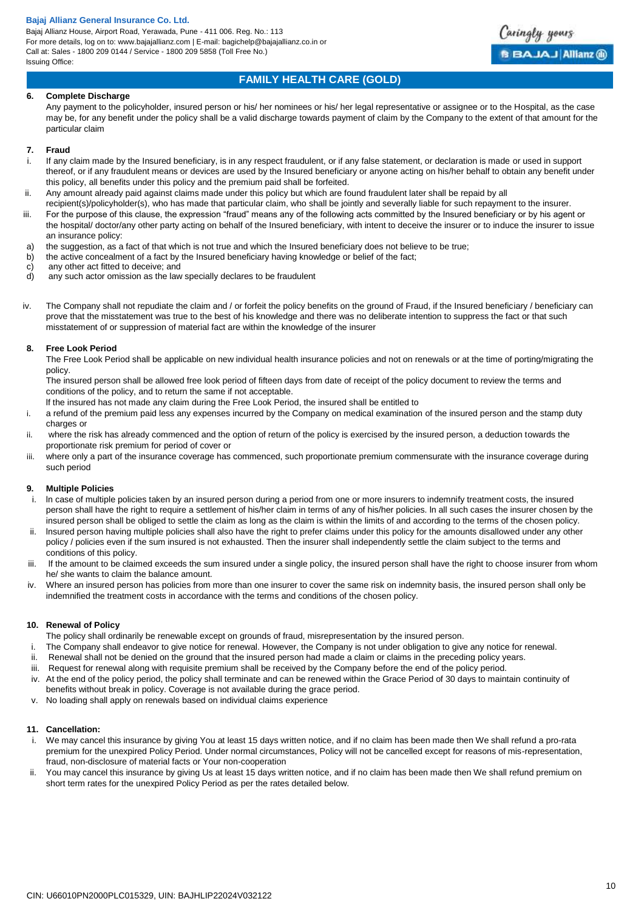Bajaj Allianz House, Airport Road, Yerawada, Pune - 411 006. Reg. No.: 113 For more details, log on to: www.bajajallianz.com | E-mail: bagichelp@bajajallianz.co.in or Call at: Sales - 1800 209 0144 / Service - 1800 209 5858 (Toll Free No.) Issuing Office:



# **FAMILY HEALTH CARE (GOLD)**

## **6. Complete Discharge**

Any payment to the policyholder, insured person or his/ her nominees or his/ her legal representative or assignee or to the Hospital, as the case may be, for any benefit under the policy shall be a valid discharge towards payment of claim by the Company to the extent of that amount for the particular claim

#### **7. Fraud**

- If any claim made by the Insured beneficiary, is in any respect fraudulent, or if any false statement, or declaration is made or used in support thereof, or if any fraudulent means or devices are used by the Insured beneficiary or anyone acting on his/her behalf to obtain any benefit under this policy, all benefits under this policy and the premium paid shall be forfeited.
- ii. Any amount already paid against claims made under this policy but which are found fraudulent later shall be repaid by all
- recipient(s)/policyholder(s), who has made that particular claim, who shall be jointly and severally liable for such repayment to the insurer. iii. For the purpose of this clause, the expression "fraud" means any of the following acts committed by the Insured beneficiary or by his agent or the hospital/ doctor/any other party acting on behalf of the Insured beneficiary, with intent to deceive the insurer or to induce the insurer to issue an insurance policy:
- 
- a) the suggestion, as a fact of that which is not true and which the Insured beneficiary does not believe to be true;<br>b) the active concealment of a fact by the Insured beneficiary having knowledge or belief of the fact: the active concealment of a fact by the Insured beneficiary having knowledge or belief of the fact;
- c) any other act fitted to deceive; and
- d) any such actor omission as the law specially declares to be fraudulent
- iv. The Company shall not repudiate the claim and / or forfeit the policy benefits on the ground of Fraud, if the Insured beneficiary / beneficiary can prove that the misstatement was true to the best of his knowledge and there was no deliberate intention to suppress the fact or that such misstatement of or suppression of material fact are within the knowledge of the insurer

## **8. Free Look Period**

The Free Look Period shall be applicable on new individual health insurance policies and not on renewals or at the time of porting/migrating the policy.

The insured person shall be allowed free look period of fifteen days from date of receipt of the policy document to review the terms and conditions of the policy, and to return the same if not acceptable.

lf the insured has not made any claim during the Free Look Period, the insured shall be entitled to

- i. a refund of the premium paid less any expenses incurred by the Company on medical examination of the insured person and the stamp duty charges or
- ii. where the risk has already commenced and the option of return of the policy is exercised by the insured person, a deduction towards the proportionate risk premium for period of cover or
- iii. where only a part of the insurance coverage has commenced, such proportionate premium commensurate with the insurance coverage during such period

## **9. Multiple Policies**

- i. ln case of multiple policies taken by an insured person during a period from one or more insurers to indemnify treatment costs, the insured person shall have the right to require a settlement of his/her claim in terms of any of his/her policies. ln all such cases the insurer chosen by the insured person shall be obliged to settle the claim as long as the claim is within the limits of and according to the terms of the chosen policy.
- ii. lnsured person having multiple policies shall also have the right to prefer claims under this policy for the amounts disallowed under any other policy / policies even if the sum insured is not exhausted. Then the insurer shall independently settle the claim subject to the terms and conditions of this policy.
- iii. lf the amount to be claimed exceeds the sum insured under a single policy, the insured person shall have the right to choose insurer from whom he/ she wants to claim the balance amount.
- iv. Where an insured person has policies from more than one insurer to cover the same risk on indemnity basis, the insured person shall only be indemnified the treatment costs in accordance with the terms and conditions of the chosen policy.

## **10. Renewal of Policy**

- The policy shall ordinarily be renewable except on grounds of fraud, misrepresentation by the insured person.
- i. The Company shall endeavor to give notice for renewal. However, the Company is not under obligation to give any notice for renewal.
- ii. Renewal shall not be denied on the ground that the insured person had made a claim or claims in the preceding policy years.
- iii. Request for renewal along with requisite premium shall be received by the Company before the end of the policy period.
- iv. At the end of the policy period, the policy shall terminate and can be renewed within the Grace Period of 30 days to maintain continuity of benefits without break in policy. Coverage is not available during the grace period.
- v. No loading shall apply on renewals based on individual claims experience

## **11. Cancellation:**

- i. We may cancel this insurance by giving You at least 15 days written notice, and if no claim has been made then We shall refund a pro-rata premium for the unexpired Policy Period. Under normal circumstances, Policy will not be cancelled except for reasons of mis-representation, fraud, non-disclosure of material facts or Your non-cooperation
- ii. You may cancel this insurance by giving Us at least 15 days written notice, and if no claim has been made then We shall refund premium on short term rates for the unexpired Policy Period as per the rates detailed below.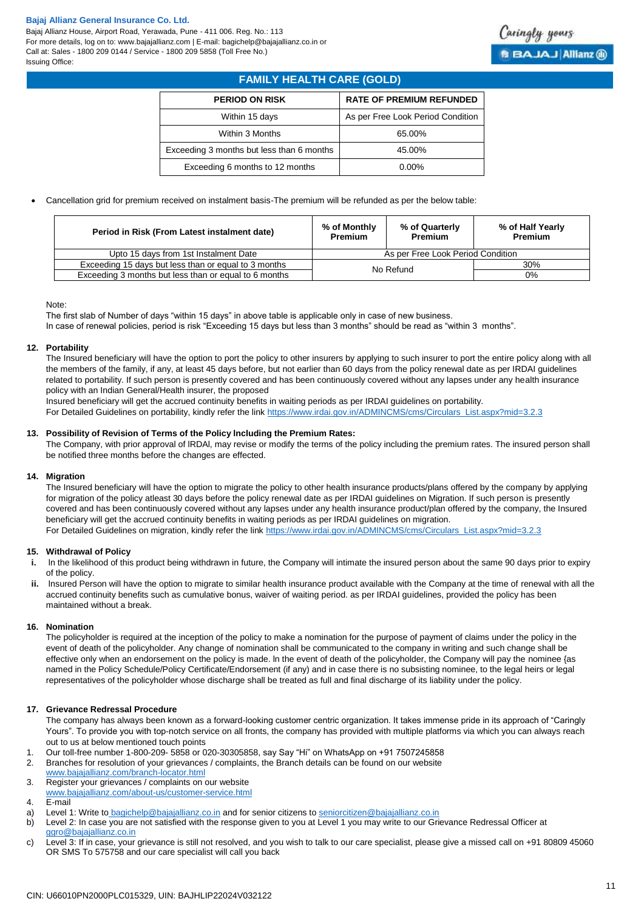Bajaj Allianz House, Airport Road, Yerawada, Pune - 411 006. Reg. No.: 113 For more details, log on to: www.bajajallianz.com | E-mail: bagichelp@bajajallianz.co.in or Call at: Sales - 1800 209 0144 / Service - 1800 209 5858 (Toll Free No.) Issuing Office:



# **FAMILY HEALTH CARE (GOLD)**

| <b>PERIOD ON RISK</b>                     | <b>RATE OF PREMIUM REFUNDED</b>   |
|-------------------------------------------|-----------------------------------|
| Within 15 days                            | As per Free Look Period Condition |
| Within 3 Months                           | 65.00%                            |
| Exceeding 3 months but less than 6 months | 45.00%                            |
| Exceeding 6 months to 12 months           | $0.00\%$                          |

Cancellation grid for premium received on instalment basis-The premium will be refunded as per the below table:

| Period in Risk (From Latest instalment date)          | % of Monthly<br><b>Premium</b>    | % of Quarterly<br>Premium | % of Half Yearly<br><b>Premium</b> |
|-------------------------------------------------------|-----------------------------------|---------------------------|------------------------------------|
| Upto 15 days from 1st Instalment Date                 | As per Free Look Period Condition |                           |                                    |
| Exceeding 15 days but less than or equal to 3 months  | 30%<br>No Refund                  |                           |                                    |
| Exceeding 3 months but less than or equal to 6 months | 0%                                |                           |                                    |

## Note:

The first slab of Number of days "within 15 days" in above table is applicable only in case of new business. In case of renewal policies, period is risk "Exceeding 15 days but less than 3 months" should be read as "within 3 months".

## **12. Portability**

The Insured beneficiary will have the option to port the policy to other insurers by applying to such insurer to port the entire policy along with all the members of the family, if any, at least 45 days before, but not earlier than 60 days from the policy renewal date as per IRDAI guidelines related to portability. If such person is presently covered and has been continuously covered without any lapses under any health insurance policy with an Indian General/Health insurer, the proposed

Insured beneficiary will get the accrued continuity benefits in waiting periods as per IRDAI guidelines on portability.

For Detailed Guidelines on portability, kindly refer the link [https://www.irdai.gov.in/ADMINCMS/cms/Circulars\\_List.aspx?mid=3.2.3](https://www.irdai.gov.in/ADMINCMS/cms/Circulars_List.aspx?mid=3.2.3)

## **13. Possibility of Revision of Terms of the Policy lncluding the Premium Rates:**

The Company, with prior approval of lRDAl, may revise or modify the terms of the policy including the premium rates. The insured person shall be notified three months before the changes are effected.

## **14. Migration**

The Insured beneficiary will have the option to migrate the policy to other health insurance products/plans offered by the company by applying for migration of the policy atleast 30 days before the policy renewal date as per IRDAI guidelines on Migration. If such person is presently covered and has been continuously covered without any lapses under any health insurance product/plan offered by the company, the Insured beneficiary will get the accrued continuity benefits in waiting periods as per IRDAI guidelines on migration. For Detailed Guidelines on migration, kindly refer the link [https://www.irdai.gov.in/ADMINCMS/cms/Circulars\\_List.aspx?mid=3.2.3](https://www.irdai.gov.in/ADMINCMS/cms/Circulars_List.aspx?mid=3.2.3)

## **15. Withdrawal of Policy**

- **i.** In the likelihood of this product being withdrawn in future, the Company will intimate the insured person about the same 90 days prior to expiry of the policy.
- **ii.** Insured Person will have the option to migrate to similar health insurance product available with the Company at the time of renewal with all the accrued continuity benefits such as cumulative bonus, waiver of waiting period. as per IRDAI guidelines, provided the policy has been maintained without a break.

## **16. Nomination**

The policyholder is required at the inception of the policy to make a nomination for the purpose of payment of claims under the policy in the event of death of the policyholder. Any change of nomination shall be communicated to the company in writing and such change shall be effective only when an endorsement on the policy is made. ln the event of death of the policyholder, the Company will pay the nominee {as named in the Policy Schedule/Policy Certificate/Endorsement (if any) and in case there is no subsisting nominee, to the legal heirs or legal representatives of the policyholder whose discharge shall be treated as full and final discharge of its liability under the policy.

## **17. Grievance Redressal Procedure**

The company has always been known as a forward-looking customer centric organization. It takes immense pride in its approach of "Caringly Yours". To provide you with top-notch service on all fronts, the company has provided with multiple platforms via which you can always reach out to us at below mentioned touch points

- 1. Our toll-free number 1-800-209- 5858 or 020-30305858, say Say "Hi" on WhatsApp on +91 7507245858
- 2. Branches for resolution of your grievances / complaints, the Branch details can be found on our website [www.bajajallianz.com/branch-locator.html](http://www.bajajallianz.com/branch-locator.html)
- 3. Register your grievances / complaints on our website [www.bajajallianz.com/about-us/customer-service.html](http://www.bajajallianz.com/about-us/customer-service.html)
- 4. E-mail
- a) Level 1: Write to [bagichelp@bajajallianz.co.in](mailto:bagichelp@bajajallianz.co.in) and for senior citizens to [seniorcitizen@bajajallianz.co.in](mailto:seniorcitizen@bajajallianz.co.in)
- b) Level 2: In case you are not satisfied with the response given to you at Level 1 you may write to our Grievance Redressal Officer at [ggro@bajajallianz.co.in](mailto:ggro@bajajallianz.co.in)
- c) Level 3: If in case, your grievance is still not resolved, and you wish to talk to our care specialist, please give a missed call on +91 80809 45060 OR SMS To 575758 and our care specialist will call you back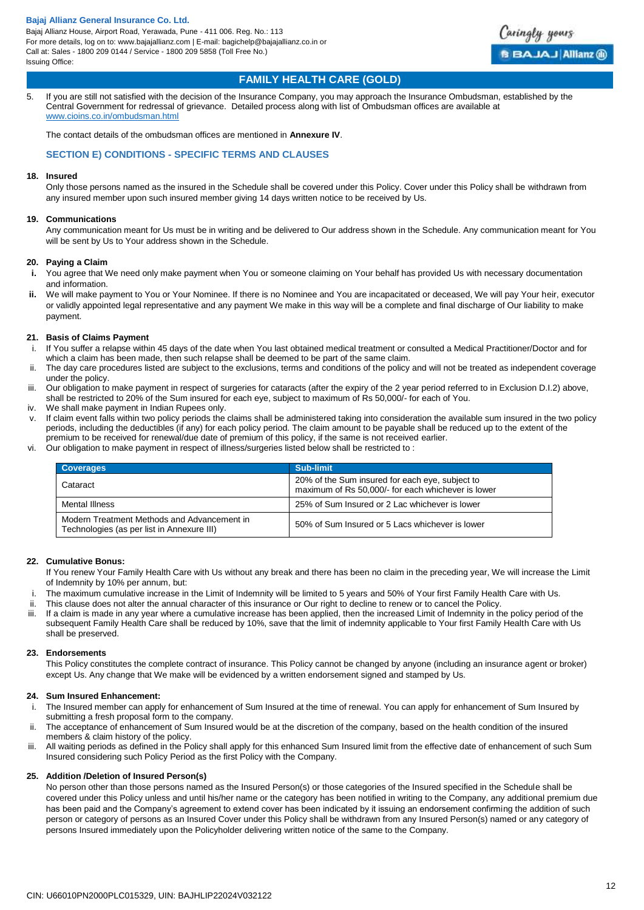Bajaj Allianz House, Airport Road, Yerawada, Pune - 411 006. Reg. No.: 113 For more details, log on to: www.bajajallianz.com | E-mail: bagichelp@bajajallianz.co.in or Call at: Sales - 1800 209 0144 / Service - 1800 209 5858 (Toll Free No.) Issuing Office:



# **FAMILY HEALTH CARE (GOLD)**

5. If you are still not satisfied with the decision of the Insurance Company, you may approach the Insurance Ombudsman, established by the Central Government for redressal of grievance. Detailed process along with list of Ombudsman offices are available at [www.cioins.co.in/ombudsman.html](http://www.cioins.co.in/ombudsman.html)

The contact details of the ombudsman offices are mentioned in **Annexure IV**.

## **SECTION E) CONDITIONS - SPECIFIC TERMS AND CLAUSES**

## **18. Insured**

Only those persons named as the insured in the Schedule shall be covered under this Policy. Cover under this Policy shall be withdrawn from any insured member upon such insured member giving 14 days written notice to be received by Us.

## **19. Communications**

Any communication meant for Us must be in writing and be delivered to Our address shown in the Schedule. Any communication meant for You will be sent by Us to Your address shown in the Schedule.

## **20. Paying a Claim**

- **i.** You agree that We need only make payment when You or someone claiming on Your behalf has provided Us with necessary documentation and information.
- **ii.** We will make payment to You or Your Nominee. If there is no Nominee and You are incapacitated or deceased, We will pay Your heir, executor or validly appointed legal representative and any payment We make in this way will be a complete and final discharge of Our liability to make payment.

## **21. Basis of Claims Payment**

- i. If You suffer a relapse within 45 days of the date when You last obtained medical treatment or consulted a Medical Practitioner/Doctor and for which a claim has been made, then such relapse shall be deemed to be part of the same claim.
- ii. The day care procedures listed are subject to the exclusions, terms and conditions of the policy and will not be treated as independent coverage under the policy.
- iii. Our obligation to make payment in respect of surgeries for cataracts (after the expiry of the 2 year period referred to in Exclusion D.I.2) above, shall be restricted to 20% of the Sum insured for each eye, subject to maximum of Rs 50,000/- for each of You.
- iv. We shall make payment in Indian Rupees only.
- v. If claim event falls within two policy periods the claims shall be administered taking into consideration the available sum insured in the two policy periods, including the deductibles (if any) for each policy period. The claim amount to be payable shall be reduced up to the extent of the premium to be received for renewal/due date of premium of this policy, if the same is not received earlier.
- vi. Our obligation to make payment in respect of illness/surgeries listed below shall be restricted to :

| <b>Coverages</b>                                                                          | Sub-limit                                                                                             |
|-------------------------------------------------------------------------------------------|-------------------------------------------------------------------------------------------------------|
| Cataract                                                                                  | 20% of the Sum insured for each eye, subject to<br>maximum of Rs 50,000/- for each whichever is lower |
| Mental Illness                                                                            | 25% of Sum Insured or 2 Lac whichever is lower                                                        |
| Modern Treatment Methods and Advancement in<br>Technologies (as per list in Annexure III) | 50% of Sum Insured or 5 Lacs whichever is lower                                                       |

## **22. Cumulative Bonus:**

If You renew Your Family Health Care with Us without any break and there has been no claim in the preceding year, We will increase the Limit of Indemnity by 10% per annum, but:

- i. The maximum cumulative increase in the Limit of Indemnity will be limited to 5 years and 50% of Your first Family Health Care with Us.
- ii. This clause does not alter the annual character of this insurance or Our right to decline to renew or to cancel the Policy.
- iii. If a claim is made in any year where a cumulative increase has been applied, then the increased Limit of Indemnity in the policy period of the subsequent Family Health Care shall be reduced by 10%, save that the limit of indemnity applicable to Your first Family Health Care with Us shall be preserved.

## **23. Endorsements**

This Policy constitutes the complete contract of insurance. This Policy cannot be changed by anyone (including an insurance agent or broker) except Us. Any change that We make will be evidenced by a written endorsement signed and stamped by Us.

## **24. Sum Insured Enhancement:**

- i. The Insured member can apply for enhancement of Sum Insured at the time of renewal. You can apply for enhancement of Sum Insured by submitting a fresh proposal form to the company.
- ii. The acceptance of enhancement of Sum Insured would be at the discretion of the company, based on the health condition of the insured members & claim history of the policy.
- iii. All waiting periods as defined in the Policy shall apply for this enhanced Sum Insured limit from the effective date of enhancement of such Sum Insured considering such Policy Period as the first Policy with the Company.

## **25. Addition /Deletion of Insured Person(s)**

No person other than those persons named as the Insured Person(s) or those categories of the Insured specified in the Schedule shall be covered under this Policy unless and until his/her name or the category has been notified in writing to the Company, any additional premium due has been paid and the Company's agreement to extend cover has been indicated by it issuing an endorsement confirming the addition of such person or category of persons as an Insured Cover under this Policy shall be withdrawn from any Insured Person(s) named or any category of persons Insured immediately upon the Policyholder delivering written notice of the same to the Company.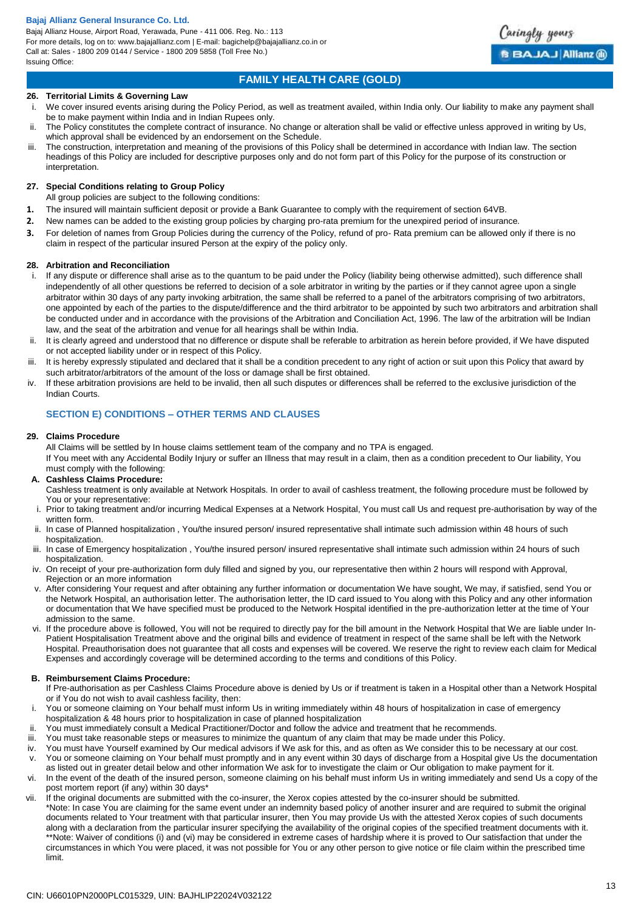Bajaj Allianz House, Airport Road, Yerawada, Pune - 411 006. Reg. No.: 113 For more details, log on to: www.bajajallianz.com | E-mail: bagichelp@bajajallianz.co.in or Call at: Sales - 1800 209 0144 / Service - 1800 209 5858 (Toll Free No.) Issuing Office:



Caringly yours

**BBAJAJ Allianz ®** 

## **26. Territorial Limits & Governing Law**

- i. We cover insured events arising during the Policy Period, as well as treatment availed, within India only. Our liability to make any payment shall be to make payment within India and in Indian Rupees only.
- The Policy constitutes the complete contract of insurance. No change or alteration shall be valid or effective unless approved in writing by Us, which approval shall be evidenced by an endorsement on the Schedule.
- iii. The construction, interpretation and meaning of the provisions of this Policy shall be determined in accordance with Indian law. The section headings of this Policy are included for descriptive purposes only and do not form part of this Policy for the purpose of its construction or interpretation.

## **27. Special Conditions relating to Group Policy**

All group policies are subject to the following conditions:

- **1.** The insured will maintain sufficient deposit or provide a Bank Guarantee to comply with the requirement of section 64VB.
- **2.** New names can be added to the existing group policies by charging pro-rata premium for the unexpired period of insurance.
- **3.** For deletion of names from Group Policies during the currency of the Policy, refund of pro- Rata premium can be allowed only if there is no claim in respect of the particular insured Person at the expiry of the policy only.

## **28. Arbitration and Reconciliation**

- i. If any dispute or difference shall arise as to the quantum to be paid under the Policy (liability being otherwise admitted), such difference shall independently of all other questions be referred to decision of a sole arbitrator in writing by the parties or if they cannot agree upon a single arbitrator within 30 days of any party invoking arbitration, the same shall be referred to a panel of the arbitrators comprising of two arbitrators, one appointed by each of the parties to the dispute/difference and the third arbitrator to be appointed by such two arbitrators and arbitration shall be conducted under and in accordance with the provisions of the Arbitration and Conciliation Act, 1996. The law of the arbitration will be Indian law, and the seat of the arbitration and venue for all hearings shall be within India.
- ii. It is clearly agreed and understood that no difference or dispute shall be referable to arbitration as herein before provided, if We have disputed or not accepted liability under or in respect of this Policy.
- iii. It is hereby expressly stipulated and declared that it shall be a condition precedent to any right of action or suit upon this Policy that award by such arbitrator/arbitrators of the amount of the loss or damage shall be first obtained.
- iv. If these arbitration provisions are held to be invalid, then all such disputes or differences shall be referred to the exclusive jurisdiction of the Indian Courts.

## **SECTION E) CONDITIONS – OTHER TERMS AND CLAUSES**

## **29. Claims Procedure**

All Claims will be settled by In house claims settlement team of the company and no TPA is engaged.

If You meet with any Accidental Bodily Injury or suffer an Illness that may result in a claim, then as a condition precedent to Our liability, You must comply with the following:

## **A. Cashless Claims Procedure:**

Cashless treatment is only available at Network Hospitals. In order to avail of cashless treatment, the following procedure must be followed by You or your representative:

- i. Prior to taking treatment and/or incurring Medical Expenses at a Network Hospital, You must call Us and request pre-authorisation by way of the written form.
- ii. In case of Planned hospitalization , You/the insured person/ insured representative shall intimate such admission within 48 hours of such hospitalization.
- iii. In case of Emergency hospitalization , You/the insured person/ insured representative shall intimate such admission within 24 hours of such hospitalization.
- iv. On receipt of your pre-authorization form duly filled and signed by you, our representative then within 2 hours will respond with Approval, Rejection or an more information
- After considering Your request and after obtaining any further information or documentation We have sought, We may, if satisfied, send You or the Network Hospital, an authorisation letter. The authorisation letter, the ID card issued to You along with this Policy and any other information or documentation that We have specified must be produced to the Network Hospital identified in the pre-authorization letter at the time of Your admission to the same.
- vi. If the procedure above is followed, You will not be required to directly pay for the bill amount in the Network Hospital that We are liable under In-Patient Hospitalisation Treatment above and the original bills and evidence of treatment in respect of the same shall be left with the Network Hospital. Preauthorisation does not guarantee that all costs and expenses will be covered. We reserve the right to review each claim for Medical Expenses and accordingly coverage will be determined according to the terms and conditions of this Policy.

## **B. Reimbursement Claims Procedure:**

If Pre-authorisation as per Cashless Claims Procedure above is denied by Us or if treatment is taken in a Hospital other than a Network Hospital or if You do not wish to avail cashless facility, then:

- i. You or someone claiming on Your behalf must inform Us in writing immediately within 48 hours of hospitalization in case of emergency hospitalization & 48 hours prior to hospitalization in case of planned hospitalization
- 
- ii. You must immediately consult a Medical Practitioner/Doctor and follow the advice and treatment that he recommends.
- iii. You must take reasonable steps or measures to minimize the quantum of any claim that may be made under this Policy.
- iv. You must have Yourself examined by Our medical advisors if We ask for this, and as often as We consider this to be necessary at our cost. v. You or someone claiming on Your behalf must promptly and in any event within 30 days of discharge from a Hospital give Us the documentation as listed out in greater detail below and other information We ask for to investigate the claim or Our obligation to make payment for it.
- vi. In the event of the death of the insured person, someone claiming on his behalf must inform Us in writing immediately and send Us a copy of the post mortem report (if any) within 30 days\*
- vii. If the original documents are submitted with the co-insurer, the Xerox copies attested by the co-insurer should be submitted. \*Note: In case You are claiming for the same event under an indemnity based policy of another insurer and are required to submit the original documents related to Your treatment with that particular insurer, then You may provide Us with the attested Xerox copies of such documents along with a declaration from the particular insurer specifying the availability of the original copies of the specified treatment documents with it. \*\*Note: Waiver of conditions (i) and (vi) may be considered in extreme cases of hardship where it is proved to Our satisfaction that under the circumstances in which You were placed, it was not possible for You or any other person to give notice or file claim within the prescribed time limit.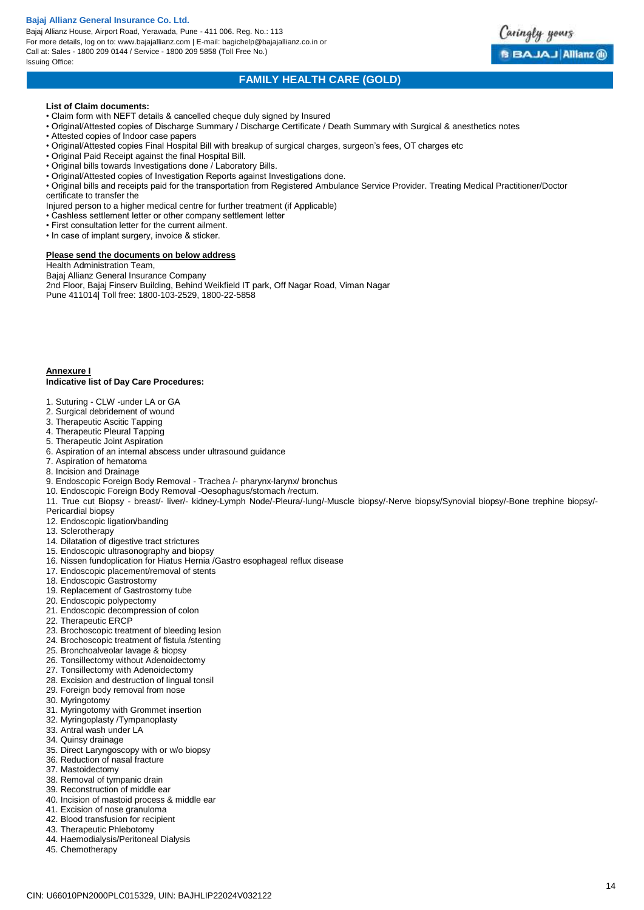Bajaj Allianz House, Airport Road, Yerawada, Pune - 411 006. Reg. No.: 113 For more details, log on to: www.bajajallianz.com | E-mail: bagichelp@bajajallianz.co.in or Call at: Sales - 1800 209 0144 / Service - 1800 209 5858 (Toll Free No.) Issuing Office:



# **FAMILY HEALTH CARE (GOLD)**

#### **List of Claim documents:**

- Claim form with NEFT details & cancelled cheque duly signed by Insured
- Original/Attested copies of Discharge Summary / Discharge Certificate / Death Summary with Surgical & anesthetics notes
- Attested copies of Indoor case papers
- Original/Attested copies Final Hospital Bill with breakup of surgical charges, surgeon's fees, OT charges etc
- Original Paid Receipt against the final Hospital Bill.
- Original bills towards Investigations done / Laboratory Bills.
- Original/Attested copies of Investigation Reports against Investigations done.
- Original bills and receipts paid for the transportation from Registered Ambulance Service Provider. Treating Medical Practitioner/Doctor certificate to transfer the
- Injured person to a higher medical centre for further treatment (if Applicable)
- Cashless settlement letter or other company settlement letter
- First consultation letter for the current ailment.
- In case of implant surgery, invoice & sticker.

#### **Please send the documents on below address**

Health Administration Team,

Bajaj Allianz General Insurance Company 2nd Floor, Bajaj Finserv Building, Behind Weikfield IT park, Off Nagar Road, Viman Nagar Pune 411014| Toll free: 1800-103-2529, 1800-22-5858

#### **Annexure I**

#### **Indicative list of Day Care Procedures:**

- 1. Suturing CLW -under LA or GA
- 2. Surgical debridement of wound
- 3. Therapeutic Ascitic Tapping
- 4. Therapeutic Pleural Tapping
- 5. Therapeutic Joint Aspiration
- 6. Aspiration of an internal abscess under ultrasound guidance
- 7. Aspiration of hematoma
- 8. Incision and Drainage
- 9. Endoscopic Foreign Body Removal Trachea /- pharynx-larynx/ bronchus
- 10. Endoscopic Foreign Body Removal -Oesophagus/stomach /rectum.
- 11. True cut Biopsy breast/- liver/- kidney-Lymph Node/-Pleura/-lung/-Muscle biopsy/-Nerve biopsy/Synovial biopsy/-Bone trephine biopsy/-
- Pericardial biopsy
- 12. Endoscopic ligation/banding
- 13. Sclerotherapy
- 14. Dilatation of digestive tract strictures
- 15. Endoscopic ultrasonography and biopsy
- 16. Nissen fundoplication for Hiatus Hernia /Gastro esophageal reflux disease
- 17. Endoscopic placement/removal of stents
- 18. Endoscopic Gastrostomy
- 19. Replacement of Gastrostomy tube
- 20. Endoscopic polypectomy
- 21. Endoscopic decompression of colon
- 22. Therapeutic ERCP
- 23. Brochoscopic treatment of bleeding lesion
- 24. Brochoscopic treatment of fistula /stenting
- 25. Bronchoalveolar lavage & biopsy
- 26. Tonsillectomy without Adenoidectomy
- 27. Tonsillectomy with Adenoidectomy
- 28. Excision and destruction of lingual tonsil
- 29. Foreign body removal from nose
- 30. Myringotomy
- 31. Myringotomy with Grommet insertion
- 32. Myringoplasty /Tympanoplasty
- 33. Antral wash under LA
- 34. Quinsy drainage
- 35. Direct Laryngoscopy with or w/o biopsy
- 36. Reduction of nasal fracture
- 37. Mastoidectomy
- 38. Removal of tympanic drain
- 39. Reconstruction of middle ear
- 40. Incision of mastoid process & middle ear
- 41. Excision of nose granuloma
- 42. Blood transfusion for recipient
- 43. Therapeutic Phlebotomy
- 44. Haemodialysis/Peritoneal Dialysis
- 45. Chemotherapy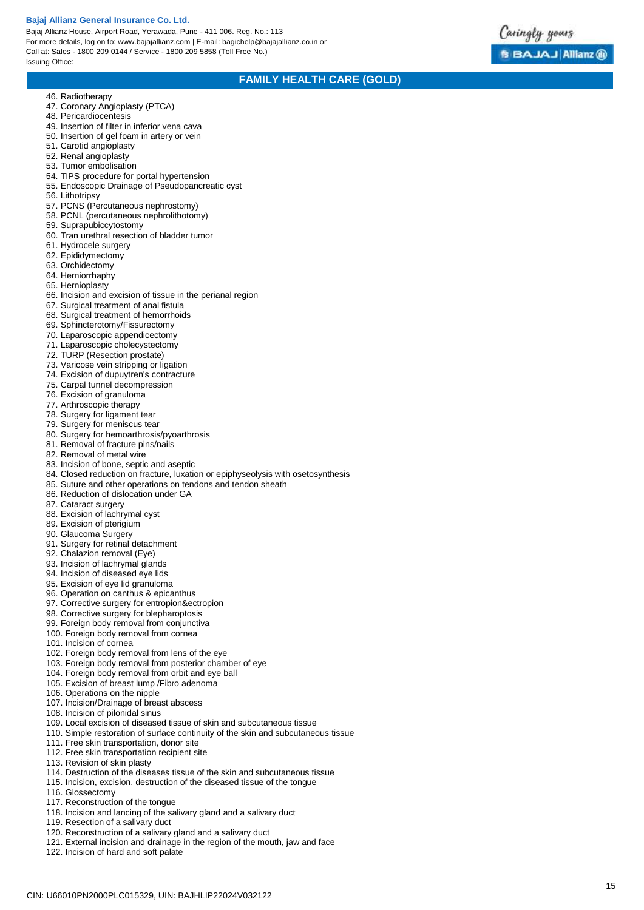Bajaj Allianz House, Airport Road, Yerawada, Pune - 411 006. Reg. No.: 113 For more details, log on to: www.bajajallianz.com | E -mail: bagichelp@bajajallianz.co.in or Call at: Sales - 1800 209 0144 / Service - 1800 209 5858 (Toll Free No.) Issuing Office:



# **FAMILY HEALTH CARE (GOLD)**

- 46. Radiotherapy
- 47. Coronary Angioplasty (PTCA)
- 48. Pericardiocentesis
- 49. Insertion of filter in inferior vena cava
- 50. Insertion of gel foam in artery or vein
- 51. Carotid angioplasty
- 52. Renal angioplasty
- 53. Tumor embolisation
- 54. TIPS procedure for portal hypertension 55. Endoscopic Drainage of Pseudopancreatic cyst
- 56. Lithotripsy
- 
- 57. PCNS (Percutaneous nephrostomy) 58. PCNL (percutaneous nephrolithotomy)
- 59. Suprapubiccytostomy
- 60. Tran urethral resection of bladder tumor
- 61. Hydrocele surgery
- 62. Epididymectomy
- 63. Orchidectomy
- 64. Herniorrhaphy
- 65. Hernioplasty
- 66. Incision and excision of tissue in the perianal region
- 67. Surgical treatment of anal fistula
- 68. Surgical treatment of hemorrhoids
- 69. Sphincterotomy/Fissurectomy
- 70. Laparoscopic appendicectomy
- 71. Laparoscopic cholecystectomy
- 72. TURP (Resection prostate)
- 73. Varicose vein stripping or ligation
- 74. Excision of dupuytren's contracture
- 75. Carpal tunnel decompression
- 76. Excision of granuloma
- 77. Arthroscopic therapy
- 78. Surgery for ligament tear
- 79. Surgery for meniscus tear
- 80. Surgery for hemoarthrosis/pyoarthrosis
- 81. Removal of fracture pins/nails
- 82. Removal of metal wire
- 83. Incision of bone, septic and aseptic
- 84. Closed reduction on fracture, luxation or epiphyseolysis with osetosynthesis
- 85. Suture and other operations on tendons and tendon sheath
- 86. Reduction of dislocation under GA
- 87. Cataract surgery
- 88. Excision of lachrymal cyst
- 89. Excision of pterigium
- 90. Glaucoma Surgery
- 91. Surgery for retinal detachment
- 92. Chalazion removal (Eye)
- 93. Incision of lachrymal glands
- 94. Incision of diseased eye lids
- 95. Excision of eye lid granuloma
- 96. Operation on canthus & epicanthus
- 97. Corrective surgery for entropion&ectropion
- 98. Corrective surgery for blepharoptosis
- 99. Foreign body removal from conjunctiva
- 100. Foreign body removal from cornea
- 101. Incision of cornea
- 102. Foreign body removal from lens of the eye
- 103. Foreign body removal from posterior chamber of eye
- 104. Foreign body removal from orbit and eye ball
- 105. Excision of breast lump /Fibro adenoma
- 106. Operations on the nipple
- 107. Incision/Drainage of breast abscess
- 108. Incision of pilonidal sinus
- 109. Local excision of diseased tissue of skin and subcutaneous tissue
- 110. Simple restoration of surface continuity of the skin and subcutaneous tissue
- 111. Free skin transportation, donor site
- 112. Free skin transportation recipient site
- 113. Revision of skin plasty
- 114. Destruction of the diseases tissue of the skin and subcutaneous tissue
- 115. Incision, excision, destruction of the diseased tissue of the tongue
- 116. Glossectomy
- 117. Reconstruction of the tongue
- 118. Incision and lancing of the salivary gland and a salivary duct
- 119. Resection of a salivary duct
- 120. Reconstruction of a salivary gland and a salivary duct
- 121. External incision and drainage in the region of the mouth, jaw and face
- 122. Incision of hard and soft palate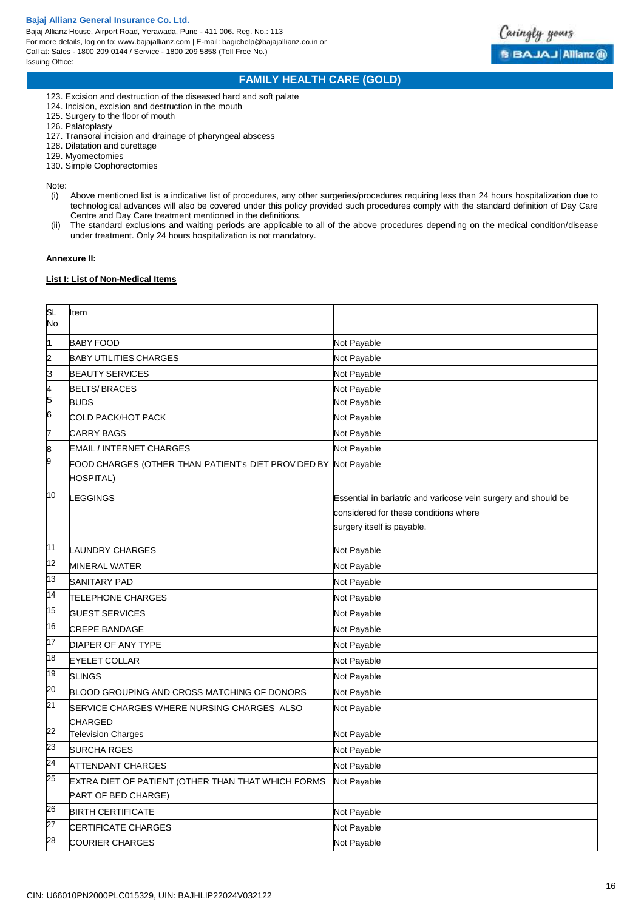Bajaj Allianz House, Airport Road, Yerawada, Pune - 411 006. Reg. No.: 113 For more details, log on to: www.bajajallianz.com | E-mail: bagichelp@bajajallianz.co.in or Call at: Sales - 1800 209 0144 / Service - 1800 209 5858 (Toll Free No.) Issuing Office:



# **FAMILY HEALTH CARE (GOLD)**

- 123. Excision and destruction of the diseased hard and soft palate
- 124. Incision, excision and destruction in the mouth
- 125. Surgery to the floor of mouth
- 126. Palatoplasty
- 127. Transoral incision and drainage of pharyngeal abscess
- 128. Dilatation and curettage
- 129. Myomectomies
- 130. Simple Oophorectomies

Note:

- (i) Above mentioned list is a indicative list of procedures, any other surgeries/procedures requiring less than 24 hours hospitalization due to technological advances will also be covered under this policy provided such procedures comply with the standard definition of Day Care Centre and Day Care treatment mentioned in the definitions.
- (ii) The standard exclusions and waiting periods are applicable to all of the above procedures depending on the medical condition/disease under treatment. Only 24 hours hospitalization is not mandatory.

## **Annexure II:**

## **List I: List of Non-Medical Items**

| <b>SL</b><br>No | Item                                                                      |                                                                                                                                       |
|-----------------|---------------------------------------------------------------------------|---------------------------------------------------------------------------------------------------------------------------------------|
| 1               | <b>BABY FOOD</b>                                                          | Not Payable                                                                                                                           |
| 2               | <b>BABY UTILITIES CHARGES</b>                                             | Not Payable                                                                                                                           |
| 3               | <b>BEAUTY SERVICES</b>                                                    | Not Payable                                                                                                                           |
| 4               | <b>BELTS/BRACES</b>                                                       | Not Payable                                                                                                                           |
| 5               | <b>BUDS</b>                                                               | Not Payable                                                                                                                           |
| 6               | COLD PACK/HOT PACK                                                        | Not Payable                                                                                                                           |
| $\overline{7}$  | <b>CARRY BAGS</b>                                                         | Not Payable                                                                                                                           |
| 8               | <b>EMAIL / INTERNET CHARGES</b>                                           | Not Payable                                                                                                                           |
| 9               | FOOD CHARGES (OTHER THAN PATIENT's DIET PROVIDED BY<br>HOSPITAL)          | Not Payable                                                                                                                           |
| 10              | LEGGINGS                                                                  | Essential in bariatric and varicose vein surgery and should be<br>considered for these conditions where<br>surgery itself is payable. |
| 11              | <b>LAUNDRY CHARGES</b>                                                    | Not Payable                                                                                                                           |
| $\overline{12}$ | <b>MINERAL WATER</b>                                                      | Not Payable                                                                                                                           |
| 13              | <b>SANITARY PAD</b>                                                       | Not Payable                                                                                                                           |
| $\overline{14}$ | <b>TELEPHONE CHARGES</b>                                                  | Not Payable                                                                                                                           |
| $\overline{15}$ | <b>GUEST SERVICES</b>                                                     | Not Payable                                                                                                                           |
| 16              | <b>CREPE BANDAGE</b>                                                      | Not Payable                                                                                                                           |
| $\overline{17}$ | DIAPER OF ANY TYPE                                                        | Not Payable                                                                                                                           |
| 18              | <b>EYELET COLLAR</b>                                                      | Not Payable                                                                                                                           |
| 19              | <b>SLINGS</b>                                                             | Not Payable                                                                                                                           |
| $\overline{20}$ | BLOOD GROUPING AND CROSS MATCHING OF DONORS                               | Not Payable                                                                                                                           |
| 21              | SERVICE CHARGES WHERE NURSING CHARGES ALSO<br><b>CHARGED</b>              | Not Payable                                                                                                                           |
| 22              | <b>Television Charges</b>                                                 | Not Payable                                                                                                                           |
| 23              | <b>SURCHA RGES</b>                                                        | Not Payable                                                                                                                           |
| 24              | ATTENDANT CHARGES                                                         | Not Payable                                                                                                                           |
| 25              | EXTRA DIET OF PATIENT (OTHER THAN THAT WHICH FORMS<br>PART OF BED CHARGE) | Not Payable                                                                                                                           |
| 26              | <b>BIRTH CERTIFICATE</b>                                                  | Not Payable                                                                                                                           |
| 27              | CERTIFICATE CHARGES                                                       | Not Payable                                                                                                                           |
| 28              | <b>COURIER CHARGES</b>                                                    | Not Payable                                                                                                                           |
|                 |                                                                           |                                                                                                                                       |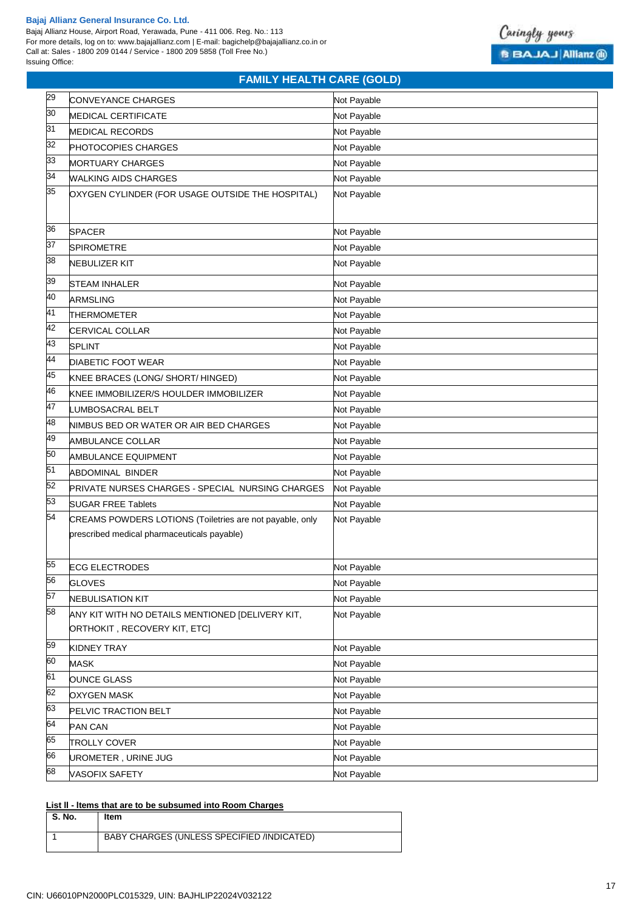Bajaj Allianz House, Airport Road, Yerawada, Pune - 411 006. Reg. No.: 113 For more details, log on to: www.bajajallianz.com | E-mail: bagichelp@bajajallianz.co.in or Call at: Sales - 1800 209 0144 / Service - 1800 209 5858 (Toll Free No.) Issuing Office:



# **FAMILY HEALTH CARE (GOLD)**

| 29 | CONVEYANCE CHARGES                                       | Not Payable |
|----|----------------------------------------------------------|-------------|
| 30 | <b>MEDICAL CERTIFICATE</b>                               | Not Payable |
| 31 | <b>MEDICAL RECORDS</b>                                   | Not Payable |
| 32 | PHOTOCOPIES CHARGES                                      | Not Payable |
| 33 | MORTUARY CHARGES                                         | Not Payable |
| 34 | <b>WALKING AIDS CHARGES</b>                              | Not Payable |
| 35 | OXYGEN CYLINDER (FOR USAGE OUTSIDE THE HOSPITAL)         | Not Payable |
|    |                                                          |             |
| 36 | <b>SPACER</b>                                            | Not Payable |
| 37 | <b>SPIROMETRE</b>                                        | Not Payable |
| 38 | <b>NEBULIZER KIT</b>                                     | Not Payable |
|    |                                                          |             |
| 39 | <b>STEAM INHALER</b>                                     | Not Payable |
| 40 | <b>ARMSLING</b>                                          | Not Payable |
| 41 | THERMOMETER                                              | Not Payable |
| 42 | CERVICAL COLLAR                                          | Not Payable |
| 43 | <b>SPLINT</b>                                            | Not Payable |
| 44 | <b>DIABETIC FOOT WEAR</b>                                | Not Payable |
| 45 | KNEE BRACES (LONG/ SHORT/ HINGED)                        | Not Payable |
| 46 | KNEE IMMOBILIZER/S HOULDER IMMOBILIZER                   | Not Payable |
| 47 | UMBOSACRAL BELT.                                         | Not Payable |
| 48 | NIMBUS BED OR WATER OR AIR BED CHARGES                   | Not Payable |
| 49 | AMBULANCE COLLAR                                         | Not Payable |
| 50 | AMBULANCE EQUIPMENT                                      | Not Payable |
| 51 | <b>ABDOMINAL BINDER</b>                                  | Not Payable |
| 52 | PRIVATE NURSES CHARGES - SPECIAL NURSING CHARGES         | Not Payable |
| 53 | <b>SUGAR FREE Tablets</b>                                | Not Payable |
| 54 | CREAMS POWDERS LOTIONS (Toiletries are not payable, only | Not Payable |
|    | prescribed medical pharmaceuticals payable)              |             |
|    |                                                          |             |
| 55 | <b>ECG ELECTRODES</b>                                    | Not Payable |
| 56 | <b>GLOVES</b>                                            | Not Payable |
| 57 | <b>NEBULISATION KIT</b>                                  | Not Payable |
| 58 | ANY KIT WITH NO DETAILS MENTIONED [DELIVERY KIT,         | Not Payable |
|    | ORTHOKIT , RECOVERY KIT, ETC]                            |             |
| 59 | <b>KIDNEY TRAY</b>                                       | Not Payable |
| 60 | <b>MASK</b>                                              | Not Payable |
| 61 | <b>OUNCE GLASS</b>                                       | Not Payable |
| 62 | OXYGEN MASK                                              | Not Payable |
| 63 | PELVIC TRACTION BELT                                     | Not Payable |
| 64 | <b>PAN CAN</b>                                           | Not Payable |
| 65 | <b>TROLLY COVER</b>                                      | Not Payable |
| 66 | UROMETER, URINE JUG                                      | Not Payable |
| 68 | VASOFIX SAFETY                                           |             |
|    |                                                          | Not Payable |

## **List ll - ltems that are to be subsumed into Room Charges**

| S. No. | ltem                                       |
|--------|--------------------------------------------|
|        | BABY CHARGES (UNLESS SPECIFIED /INDICATED) |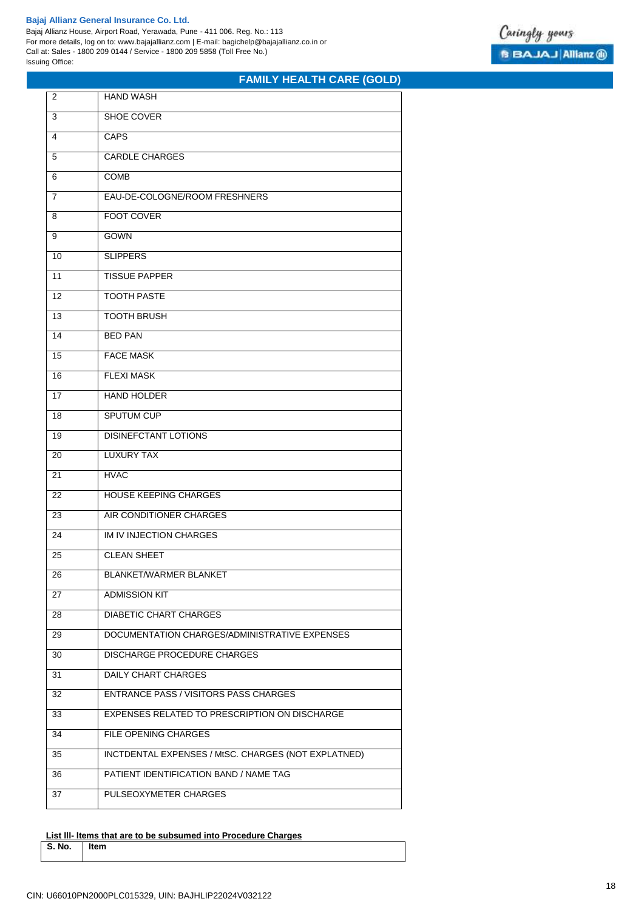Bajaj Allianz House, Airport Road, Yerawada, Pune - 411 006. Reg. No.: 113 For more details, log on to: www.bajajallianz.com | E-mail: bagichelp@bajajallianz.co.in or Call at: Sales - 1800 209 0144 / Service - 1800 209 5858 (Toll Free No.) Issuing Office:



# **FAMILY HEALTH CARE (GOLD)**

| 2              | <b>HAND WASH</b>                                    |
|----------------|-----------------------------------------------------|
| 3              | <b>SHOE COVER</b>                                   |
| 4              | <b>CAPS</b>                                         |
| 5              | <b>CARDLE CHARGES</b>                               |
| 6              | <b>COMB</b>                                         |
| $\overline{7}$ | EAU-DE-COLOGNE/ROOM FRESHNERS                       |
| 8              | <b>FOOT COVER</b>                                   |
| 9              | <b>GOWN</b>                                         |
| 10             | <b>SLIPPERS</b>                                     |
| 11             | <b>TISSUE PAPPER</b>                                |
| 12             | <b>TOOTH PASTE</b>                                  |
| 13             | <b>TOOTH BRUSH</b>                                  |
| 14             | <b>BED PAN</b>                                      |
| 15             | <b>FACE MASK</b>                                    |
| 16             | <b>FLEXI MASK</b>                                   |
| 17             | <b>HAND HOLDER</b>                                  |
| 18             | <b>SPUTUM CUP</b>                                   |
| 19             | <b>DISINEFCTANT LOTIONS</b>                         |
| 20             | <b>LUXURY TAX</b>                                   |
| 21             | <b>HVAC</b>                                         |
| 22             | <b>HOUSE KEEPING CHARGES</b>                        |
| 23             | AIR CONDITIONER CHARGES                             |
| 24             | IM IV INJECTION CHARGES                             |
| 25             | <b>CLEAN SHEET</b>                                  |
| 26             | BLANKET/WARMER BLANKET                              |
| 27             | <b>ADMISSION KIT</b>                                |
| 28             | <b>DIABETIC CHART CHARGES</b>                       |
| 29             | DOCUMENTATION CHARGES/ADMINISTRATIVE EXPENSES       |
| 30             | DISCHARGE PROCEDURE CHARGES                         |
| 31             | DAILY CHART CHARGES                                 |
| 32             | <b>ENTRANCE PASS / VISITORS PASS CHARGES</b>        |
| 33             | EXPENSES RELATED TO PRESCRIPTION ON DISCHARGE       |
| 34             | FILE OPENING CHARGES                                |
| 35             | INCTDENTAL EXPENSES / MtSC. CHARGES (NOT EXPLATNED) |
| 36             | PATIENT IDENTIFICATION BAND / NAME TAG              |
| 37             | PULSEOXYMETER CHARGES                               |
|                |                                                     |

**List lll- ltems that are to be subsumed into Procedure Charges S. No. Item**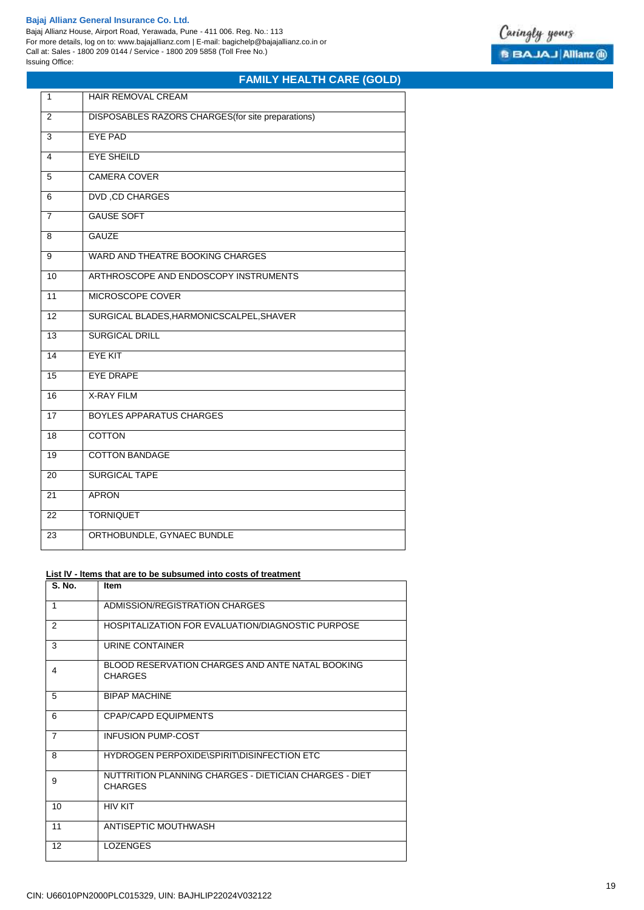Bajaj Allianz House, Airport Road, Yerawada, Pune - 411 006. Reg. No.: 113 For more details, log on to: www.bajajallianz.com | E-mail: bagichelp@bajajallianz.co.in or Call at: Sales - 1800 209 0144 / Service - 1800 209 5858 (Toll Free No.) Issuing Office:



# **FAMILY HEALTH CARE (GOLD)**

| 1               | <b>HAIR REMOVAL CREAM</b>                          |
|-----------------|----------------------------------------------------|
| 2               | DISPOSABLES RAZORS CHARGES (for site preparations) |
| 3               | <b>EYE PAD</b>                                     |
| 4               | <b>EYE SHEILD</b>                                  |
| 5               | <b>CAMERA COVER</b>                                |
| 6               | <b>DVD, CD CHARGES</b>                             |
| 7               | <b>GAUSE SOFT</b>                                  |
| 8               | <b>GAUZE</b>                                       |
| $\overline{9}$  | <b>WARD AND THEATRE BOOKING CHARGES</b>            |
| 10              | ARTHROSCOPE AND ENDOSCOPY INSTRUMENTS              |
| 11              | MICROSCOPE COVER                                   |
| $\overline{12}$ | SURGICAL BLADES, HARMONICSCALPEL, SHAVER           |
| $\overline{13}$ | <b>SURGICAL DRILL</b>                              |
| 14              | <b>EYE KIT</b>                                     |
| 15              | <b>EYE DRAPE</b>                                   |
| 16              | <b>X-RAY FILM</b>                                  |
| 17              | <b>BOYLES APPARATUS CHARGES</b>                    |
| 18              | <b>COTTON</b>                                      |
| 19              | <b>COTTON BANDAGE</b>                              |
| 20              | <b>SURGICAL TAPE</b>                               |
| $\overline{21}$ | <b>APRON</b>                                       |
| 22              | <b>TORNIQUET</b>                                   |
| 23              | ORTHOBUNDLE, GYNAEC BUNDLE                         |

## **List lV - ltems that are to be subsumed into costs of treatment**

| <b>S. No.</b>  | Item                                                                     |
|----------------|--------------------------------------------------------------------------|
| 1              | ADMISSION/REGISTRATION CHARGES                                           |
| $\mathcal{P}$  | HOSPITALIZATION FOR EVALUATION/DIAGNOSTIC PURPOSE                        |
| 3              | URINE CONTAINER                                                          |
| 4              | BLOOD RESERVATION CHARGES AND ANTE NATAL BOOKING<br><b>CHARGES</b>       |
| 5              | <b>BIPAP MACHINE</b>                                                     |
| 6              | CPAP/CAPD EQUIPMENTS                                                     |
| $\overline{7}$ | <b>INFUSION PUMP-COST</b>                                                |
| 8              | HYDROGEN PERPOXIDE\SPIRIT\DISINFECTION ETC                               |
| 9              | NUTTRITION PLANNING CHARGES - DIETICIAN CHARGES - DIET<br><b>CHARGES</b> |
| 10             | <b>HIV KIT</b>                                                           |
| 11             | ANTISEPTIC MOUTHWASH                                                     |
| 12             | <b>LOZENGES</b>                                                          |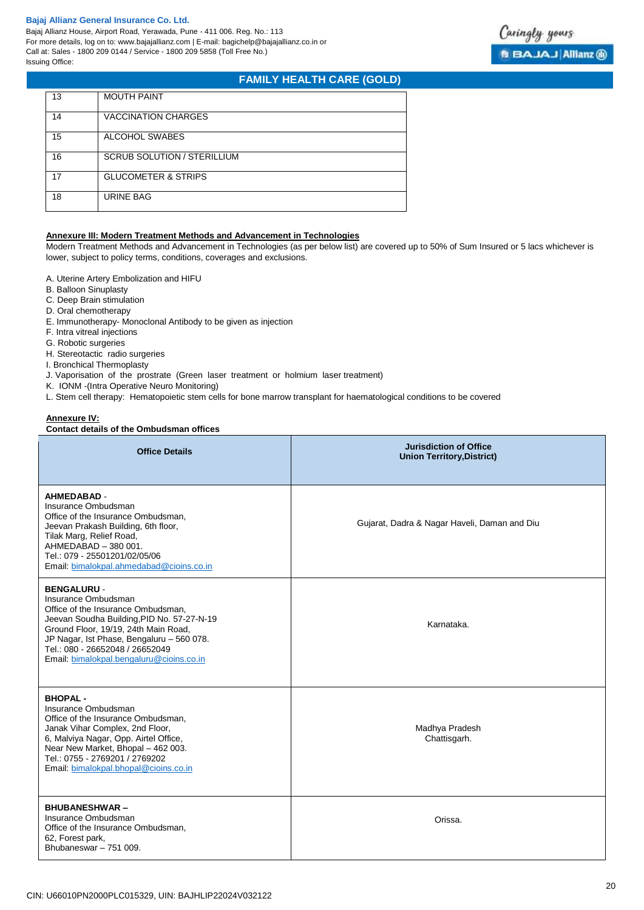Bajaj Allianz House, Airport Road, Yerawada, Pune - 411 006. Reg. No.: 113 For more details, log on to: www.bajajallianz.com | E-mail: bagichelp@bajajallianz.co.in or Call at: Sales - 1800 209 0144 / Service - 1800 209 5858 (Toll Free No.) Issuing Office:

# **FAMILY HEALTH CARE (GOLD)**

| 13 | <b>MOUTH PAINT</b>                 |
|----|------------------------------------|
| 14 | <b>VACCINATION CHARGES</b>         |
| 15 | ALCOHOL SWABES                     |
| 16 | <b>SCRUB SOLUTION / STERILLIUM</b> |
| 17 | <b>GLUCOMETER &amp; STRIPS</b>     |
| 18 | <b>URINE BAG</b>                   |

## **Annexure III: Modern Treatment Methods and Advancement in Technologies**

Modern Treatment Methods and Advancement in Technologies (as per below list) are covered up to 50% of Sum Insured or 5 lacs whichever is lower, subject to policy terms, conditions, coverages and exclusions.

- A. Uterine Artery Embolization and HIFU
- B. Balloon Sinuplasty
- C. Deep Brain stimulation
- D. Oral chemotherapy
- E. Immunotherapy- Monoclonal Antibody to be given as injection
- F. Intra vitreal injections
- G. Robotic surgeries
- H. Stereotactic radio surgeries
- I. Bronchical Thermoplasty
- J. Vaporisation of the prostrate (Green laser treatment or holmium laser treatment)
- K. IONM -(Intra Operative Neuro Monitoring)
- L. Stem cell therapy: Hematopoietic stem cells for bone marrow transplant for haematological conditions to be covered

## **Annexure IV:**

## **Contact details of the Ombudsman offices**

| <b>Office Details</b>                                                                                                                                                                                                                                                                             | <b>Jurisdiction of Office</b><br><b>Union Territory, District)</b> |
|---------------------------------------------------------------------------------------------------------------------------------------------------------------------------------------------------------------------------------------------------------------------------------------------------|--------------------------------------------------------------------|
| <b>AHMEDABAD -</b><br>Insurance Ombudsman<br>Office of the Insurance Ombudsman.<br>Jeevan Prakash Building, 6th floor,<br>Tilak Marg, Relief Road,<br>AHMEDABAD - 380 001.<br>Tel.: 079 - 25501201/02/05/06<br>Email: bimalokpal.ahmedabad@cioins.co.in                                           | Gujarat, Dadra & Nagar Haveli, Daman and Diu                       |
| <b>BENGALURU -</b><br>Insurance Ombudsman<br>Office of the Insurance Ombudsman.<br>Jeevan Soudha Building, PID No. 57-27-N-19<br>Ground Floor, 19/19, 24th Main Road,<br>JP Nagar, Ist Phase, Bengaluru - 560 078.<br>Tel.: 080 - 26652048 / 26652049<br>Email: bimalokpal.bengaluru@cioins.co.in | Karnataka.                                                         |
| <b>BHOPAL-</b><br>Insurance Ombudsman<br>Office of the Insurance Ombudsman,<br>Janak Vihar Complex, 2nd Floor,<br>6, Malviya Nagar, Opp. Airtel Office,<br>Near New Market, Bhopal - 462 003.<br>Tel.: 0755 - 2769201 / 2769202<br>Email: bimalokpal.bhopal@cioins.co.in                          | Madhya Pradesh<br>Chattisgarh.                                     |
| <b>BHUBANESHWAR-</b><br>Insurance Ombudsman<br>Office of the Insurance Ombudsman,<br>62, Forest park,<br>Bhubaneswar - 751 009.                                                                                                                                                                   | Orissa.                                                            |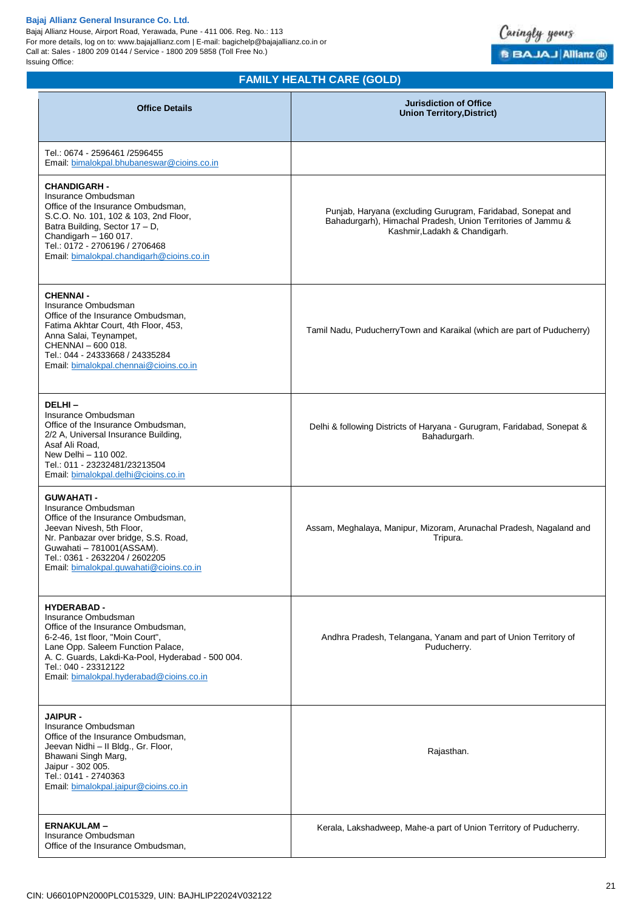Bajaj Allianz House, Airport Road, Yerawada, Pune - 411 006. Reg. No.: 113 For more details, log on to: www.bajajallianz.com | E-mail: bagichelp@bajajallianz.co.in or Call at: Sales - 1800 209 0144 / Service - 1800 209 5858 (Toll Free No.) Issuing Office:



# **FAMILY HEALTH CARE (GOLD)**

| <b>Office Details</b>                                                                                                                                                                                                                                                             | <b>Jurisdiction of Office</b><br><b>Union Territory, District)</b>                                                                                           |
|-----------------------------------------------------------------------------------------------------------------------------------------------------------------------------------------------------------------------------------------------------------------------------------|--------------------------------------------------------------------------------------------------------------------------------------------------------------|
| Tel.: 0674 - 2596461 /2596455<br>Email: bimalokpal.bhubaneswar@cioins.co.in                                                                                                                                                                                                       |                                                                                                                                                              |
| <b>CHANDIGARH -</b><br>Insurance Ombudsman<br>Office of the Insurance Ombudsman.<br>S.C.O. No. 101, 102 & 103, 2nd Floor,<br>Batra Building, Sector 17 - D,<br>Chandigarh - 160 017.<br>Tel.: 0172 - 2706196 / 2706468<br>Email: bimalokpal.chandigarh@cioins.co.in               | Punjab, Haryana (excluding Gurugram, Faridabad, Sonepat and<br>Bahadurgarh), Himachal Pradesh, Union Territories of Jammu &<br>Kashmir, Ladakh & Chandigarh. |
| <b>CHENNAI -</b><br>Insurance Ombudsman<br>Office of the Insurance Ombudsman.<br>Fatima Akhtar Court, 4th Floor, 453,<br>Anna Salai, Teynampet,<br>CHENNAI - 600 018.<br>Tel.: 044 - 24333668 / 24335284<br>Email: bimalokpal.chennai@cioins.co.in                                | Tamil Nadu, PuducherryTown and Karaikal (which are part of Puducherry)                                                                                       |
| DELHI-<br>Insurance Ombudsman<br>Office of the Insurance Ombudsman,<br>2/2 A, Universal Insurance Building,<br>Asaf Ali Road,<br>New Delhi - 110 002.<br>Tel.: 011 - 23232481/23213504<br>Email: bimalokpal.delhi@cioins.co.in                                                    | Delhi & following Districts of Haryana - Gurugram, Faridabad, Sonepat &<br>Bahadurgarh.                                                                      |
| <b>GUWAHATI -</b><br>Insurance Ombudsman<br>Office of the Insurance Ombudsman,<br>Jeevan Nivesh, 5th Floor,<br>Nr. Panbazar over bridge, S.S. Road,<br>Guwahati - 781001(ASSAM).<br>Tel.: 0361 - 2632204 / 2602205<br>Email: bimalokpal.guwahati@cioins.co.in                     | Assam, Meghalaya, Manipur, Mizoram, Arunachal Pradesh, Nagaland and<br>Tripura.                                                                              |
| <b>HYDERABAD -</b><br>Insurance Ombudsman<br>Office of the Insurance Ombudsman,<br>6-2-46, 1st floor, "Moin Court",<br>Lane Opp. Saleem Function Palace,<br>A. C. Guards, Lakdi-Ka-Pool, Hyderabad - 500 004.<br>Tel.: 040 - 23312122<br>Email: bimalokpal.hyderabad@cioins.co.in | Andhra Pradesh, Telangana, Yanam and part of Union Territory of<br>Puducherry.                                                                               |
| <b>JAIPUR -</b><br>Insurance Ombudsman<br>Office of the Insurance Ombudsman,<br>Jeevan Nidhi - Il Bldg., Gr. Floor,<br>Bhawani Singh Marg,<br>Jaipur - 302 005.<br>Tel.: 0141 - 2740363<br>Email: bimalokpal.jaipur@cioins.co.in                                                  | Rajasthan.                                                                                                                                                   |
| <b>ERNAKULAM-</b><br>Insurance Ombudsman<br>Office of the Insurance Ombudsman,                                                                                                                                                                                                    | Kerala, Lakshadweep, Mahe-a part of Union Territory of Puducherry.                                                                                           |